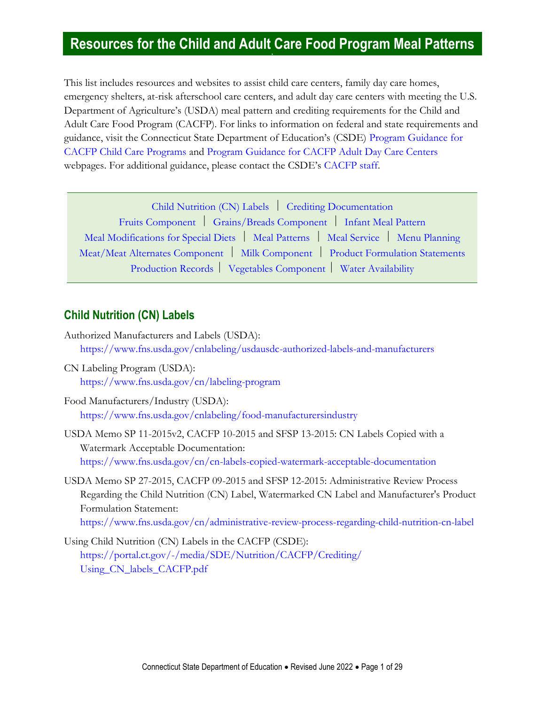# **Resources for the Child and Adult Care Food Program Meal Patterns**

This list includes resources and websites to assist child care centers, family day care homes, emergency shelters, at-risk afterschool care centers, and adult day care centers with meeting the U.S. Department of Agriculture's (USDA) meal pattern and crediting requirements for the Child and Adult Care Food Program (CACFP). For links to information on federal and state requirements and guidance, visit the Connecticut State Department of Education's (CSDE) [Program Guidance for](https://portal.ct.gov/SDE/Nutrition/Program-Guidance-CACFP-Child)  [CACFP Child Care Programs](https://portal.ct.gov/SDE/Nutrition/Program-Guidance-CACFP-Child) and [Program Guidance for CACFP Adult Day Care Centers](https://portal.ct.gov/SDE/Nutrition/Program-Guidance-CACFP-Adults) webpages. For additional guidance, please contact the CSDE's [CACFP staff.](https://portal.ct.gov/SDE/Nutrition/CACFP-Contact)

| Child Nutrition (CN) Labels   Crediting Documentation                               |  |
|-------------------------------------------------------------------------------------|--|
| Fruits Component   Grains/Breads Component   Infant Meal Pattern                    |  |
| Meal Modifications for Special Diets   Meal Patterns   Meal Service   Menu Planning |  |
| Meat/Meat Alternates Component   Milk Component   Product Formulation Statements    |  |
| Production Records   Vegetables Component   Water Availability                      |  |

#### <span id="page-0-0"></span>**Child Nutrition (CN) Labels**

- Authorized Manufacturers and Labels (USDA): <https://www.fns.usda.gov/cnlabeling/usdausdc-authorized-labels-and-manufacturers>
- CN Labeling Program (USDA): <https://www.fns.usda.gov/cn/labeling-program>
- Food Manufacturers/Industry (USDA): <https://www.fns.usda.gov/cnlabeling/food-manufacturersindustry>
- USDA Memo SP 11-2015v2, CACFP 10-2015 and SFSP 13-2015: CN Labels Copied with a Watermark Acceptable Documentation: <https://www.fns.usda.gov/cn/cn-labels-copied-watermark-acceptable-documentation>
- USDA Memo SP 27-2015, CACFP 09-2015 and SFSP 12-2015: Administrative Review Process Regarding the Child Nutrition (CN) Label, Watermarked CN Label and Manufacturer's Product Formulation Statement:

<https://www.fns.usda.gov/cn/administrative-review-process-regarding-child-nutrition-cn-label>

<span id="page-0-1"></span>Using Child Nutrition (CN) Labels in the CACFP (CSDE): [https://portal.ct.gov/-/media/SDE/Nutrition/CACFP/Crediting/](https://portal.ct.gov/-/media/SDE/Nutrition/CACFP/Crediting/‌Using_CN_labels_CACFP.pdf) [Using\\_CN\\_labels\\_CACFP.pdf](https://portal.ct.gov/-/media/SDE/Nutrition/CACFP/Crediting/‌Using_CN_labels_CACFP.pdf)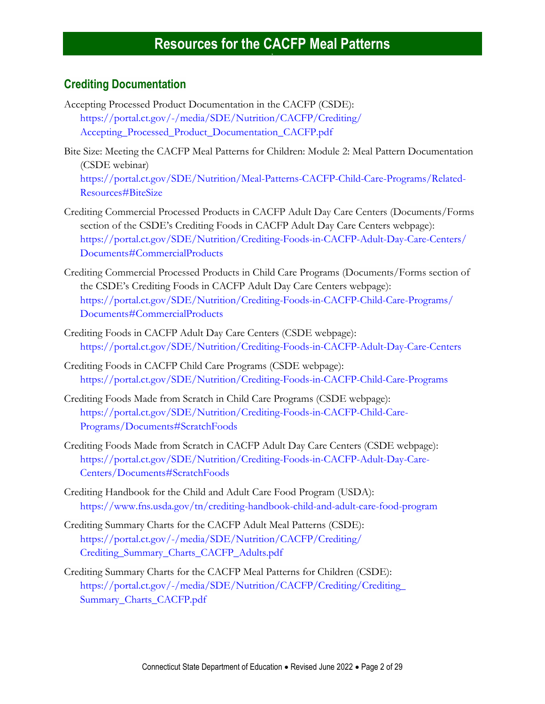#### **Crediting Documentation**

- Accepting Processed Product Documentation in the CACFP (CSDE): [https://portal.ct.gov/-/media/SDE/Nutrition/CACFP/Crediting/](https://portal.ct.gov/-/media/SDE/Nutrition/CACFP/Crediting/Accepting_Processed_Product_Documentation_CACFP.pdf) [Accepting\\_Processed\\_Product\\_Documentation\\_CACFP.pdf](https://portal.ct.gov/-/media/SDE/Nutrition/CACFP/Crediting/Accepting_Processed_Product_Documentation_CACFP.pdf)
- Bite Size: Meeting the CACFP Meal Patterns for Children: Module 2: Meal Pattern Documentation (CSDE webinar) [https://portal.ct.gov/SDE/Nutrition/Meal-Patterns-CACFP-Child-Care-Programs/Related-](https://portal.ct.gov/SDE/Nutrition/Meal-Patterns-CACFP-Child-Care-Programs/Related-Resources#BiteSize)[Resources#BiteSize](https://portal.ct.gov/SDE/Nutrition/Meal-Patterns-CACFP-Child-Care-Programs/Related-Resources#BiteSize)
- Crediting Commercial Processed Products in CACFP Adult Day Care Centers (Documents/Forms section of the CSDE's Crediting Foods in CACFP Adult Day Care Centers webpage): [https://portal.ct.gov/SDE/Nutrition/Crediting-Foods-in-CACFP-Adult-Day-Care-Centers/](https://portal.ct.gov/SDE/Nutrition/Crediting-Foods-in-CACFP-Adult-Day-Care-Centers/Documents#CommercialProducts) [Documents#CommercialProducts](https://portal.ct.gov/SDE/Nutrition/Crediting-Foods-in-CACFP-Adult-Day-Care-Centers/Documents#CommercialProducts)
- Crediting Commercial Processed Products in Child Care Programs (Documents/Forms section of the CSDE's Crediting Foods in CACFP Adult Day Care Centers webpage): [https://portal.ct.gov/SDE/Nutrition/Crediting-Foods-in-CACFP-Child-Care-Programs/](https://portal.ct.gov/SDE/Nutrition/Crediting-Foods-in-CACFP-Child-Care-Programs/Documents#CommercialProducts) [Documents#CommercialProducts](https://portal.ct.gov/SDE/Nutrition/Crediting-Foods-in-CACFP-Child-Care-Programs/Documents#CommercialProducts)
- Crediting Foods in CACFP Adult Day Care Centers (CSDE webpage): [https://portal.ct.gov/SDE/Nutrition/Crediting-Foods-in-CACFP-Adult-Day-Care-Centers](http://portal.ct.gov/SDE/Nutrition/Crediting-Foods-in-CACFP-Adult-Day-Care-Centers)
- Crediting Foods in CACFP Child Care Programs (CSDE webpage): [https://portal.ct.gov/SDE/Nutrition/Crediting-Foods-in-CACFP-Child-Care-Programs](http://portal.ct.gov/SDE/Nutrition/Crediting-Foods-in-CACFP-Child-Care-Programs)
- Crediting Foods Made from Scratch in Child Care Programs (CSDE webpage): [https://portal.ct.gov/SDE/Nutrition/Crediting-Foods-in-CACFP-Child-Care-](https://portal.ct.gov/SDE/Nutrition/Crediting-Foods-in-CACFP-Child-Care-Programs/Documents#ScratchFoods)[Programs/Documents#ScratchFoods](https://portal.ct.gov/SDE/Nutrition/Crediting-Foods-in-CACFP-Child-Care-Programs/Documents#ScratchFoods)
- Crediting Foods Made from Scratch in CACFP Adult Day Care Centers (CSDE webpage): [https://portal.ct.gov/SDE/Nutrition/Crediting-Foods-in-CACFP-Adult-Day-Care-](https://portal.ct.gov/SDE/Nutrition/Crediting-Foods-in-CACFP-Adult-Day-Care-Centers/Documents#ScratchFoods)[Centers/Documents#ScratchFoods](https://portal.ct.gov/SDE/Nutrition/Crediting-Foods-in-CACFP-Adult-Day-Care-Centers/Documents#ScratchFoods)
- Crediting Handbook for the Child and Adult Care Food Program (USDA): <https://www.fns.usda.gov/tn/crediting-handbook-child-and-adult-care-food-program>
- Crediting Summary Charts for the CACFP Adult Meal Patterns (CSDE): [https://portal.ct.gov/-/media/SDE/Nutrition/CACFP/Crediting/](https://portal.ct.gov/-/media/SDE/Nutrition/CACFP/Crediting/Crediting_Summary_Charts_CACFP_Adults.pdf) [Crediting\\_Summary\\_Charts\\_CACFP\\_Adults.pdf](https://portal.ct.gov/-/media/SDE/Nutrition/CACFP/Crediting/Crediting_Summary_Charts_CACFP_Adults.pdf)
- Crediting Summary Charts for the CACFP Meal Patterns for Children (CSDE): [https://portal.ct.gov/-/media/SDE/Nutrition/CACFP/Crediting/Crediting\\_](https://portal.ct.gov/-/media/SDE/Nutrition/CACFP/Crediting/Crediting_Summary_Charts_CACFP.pdf) [Summary\\_Charts\\_CACFP.pdf](https://portal.ct.gov/-/media/SDE/Nutrition/CACFP/Crediting/Crediting_Summary_Charts_CACFP.pdf)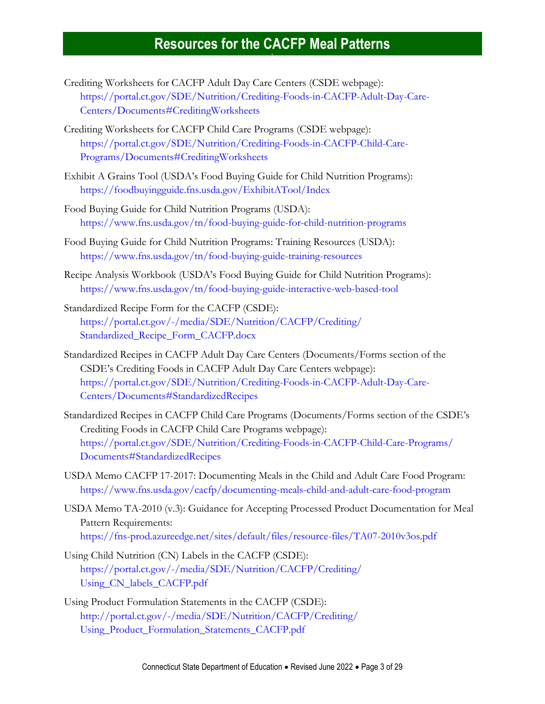- Crediting Worksheets for CACFP Adult Day Care Centers (CSDE webpage): [https://portal.ct.gov/SDE/Nutrition/Crediting-Foods-in-CACFP-Adult-Day-Care-](https://portal.ct.gov/SDE/Nutrition/Crediting-Foods-in-CACFP-Adult-Day-Care-Centers/Documents#CreditingWorksheets)[Centers/Documents#CreditingWorksheets](https://portal.ct.gov/SDE/Nutrition/Crediting-Foods-in-CACFP-Adult-Day-Care-Centers/Documents#CreditingWorksheets)
- Crediting Worksheets for CACFP Child Care Programs (CSDE webpage): [https://portal.ct.gov/SDE/Nutrition/Crediting-Foods-in-CACFP-Child-Care-](https://portal.ct.gov/SDE/Nutrition/Crediting-Foods-in-CACFP-Child-Care-Programs/Documents#CreditingWorksheets)[Programs/Documents#CreditingWorksheets](https://portal.ct.gov/SDE/Nutrition/Crediting-Foods-in-CACFP-Child-Care-Programs/Documents#CreditingWorksheets)
- Exhibit A Grains Tool (USDA's Food Buying Guide for Child Nutrition Programs): <https://foodbuyingguide.fns.usda.gov/ExhibitATool/Index>
- Food Buying Guide for Child Nutrition Programs (USDA): <https://www.fns.usda.gov/tn/food-buying-guide-for-child-nutrition-programs>
- Food Buying Guide for Child Nutrition Programs: Training Resources (USDA): <https://www.fns.usda.gov/tn/food-buying-guide-training-resources>
- Recipe Analysis Workbook (USDA's Food Buying Guide for Child Nutrition Programs): <https://www.fns.usda.gov/tn/food-buying-guide-interactive-web-based-tool>
- Standardized Recipe Form for the CACFP (CSDE): [https://portal.ct.gov/-/media/SDE/Nutrition/CACFP/Crediting/](https://portal.ct.gov/-/media/SDE/Nutrition/CACFP/Crediting/‌Standardized_Recipe_Form_CACFP.docx) [Standardized\\_Recipe\\_Form\\_CACFP.docx](https://portal.ct.gov/-/media/SDE/Nutrition/CACFP/Crediting/‌Standardized_Recipe_Form_CACFP.docx)
- Standardized Recipes in CACFP Adult Day Care Centers (Documents/Forms section of the CSDE's Crediting Foods in CACFP Adult Day Care Centers webpage): [https://portal.ct.gov/SDE/Nutrition/Crediting-Foods-in-CACFP-Adult-Day-Care-](https://portal.ct.gov/SDE/Nutrition/Crediting-Foods-in-CACFP-Adult-Day-Care-Centers/Documents#StandardizedRecipes)[Centers/Documents#StandardizedRecipes](https://portal.ct.gov/SDE/Nutrition/Crediting-Foods-in-CACFP-Adult-Day-Care-Centers/Documents#StandardizedRecipes)
- Standardized Recipes in CACFP Child Care Programs (Documents/Forms section of the CSDE's Crediting Foods in CACFP Child Care Programs webpage): [https://portal.ct.gov/SDE/Nutrition/Crediting-Foods-in-CACFP-Child-Care-Programs/](https://portal.ct.gov/SDE/Nutrition/Crediting-Foods-in-CACFP-Child-Care-Programs/Documents#StandardizedRecipes) [Documents#StandardizedRecipes](https://portal.ct.gov/SDE/Nutrition/Crediting-Foods-in-CACFP-Child-Care-Programs/Documents#StandardizedRecipes)
- USDA Memo CACFP 17-2017: Documenting Meals in the Child and Adult Care Food Program: <https://www.fns.usda.gov/cacfp/documenting-meals-child-and-adult-care-food-program>
- USDA Memo TA-2010 (v.3): Guidance for Accepting Processed Product Documentation for Meal Pattern Requirements: <https://fns-prod.azureedge.net/sites/default/files/resource-files/TA07-2010v3os.pdf>
- Using Child Nutrition (CN) Labels in the CACFP (CSDE): [https://portal.ct.gov/-/media/SDE/Nutrition/CACFP/Crediting/](https://portal.ct.gov/-/media/SDE/Nutrition/CACFP/Crediting/‌Using_CN_labels_CACFP.pdf) [Using\\_CN\\_labels\\_CACFP.pdf](https://portal.ct.gov/-/media/SDE/Nutrition/CACFP/Crediting/‌Using_CN_labels_CACFP.pdf)
- Using Product Formulation Statements in the CACFP (CSDE): [http://portal.ct.gov/-/media/SDE/Nutrition/CACFP/Crediting/](http://portal.ct.gov/-/media/SDE/Nutrition/CACFP/Crediting/Using_Product_Formulation_Statements_CACFP.pdf) [Using\\_Product\\_Formulation\\_Statements\\_CACFP.pdf](http://portal.ct.gov/-/media/SDE/Nutrition/CACFP/Crediting/Using_Product_Formulation_Statements_CACFP.pdf)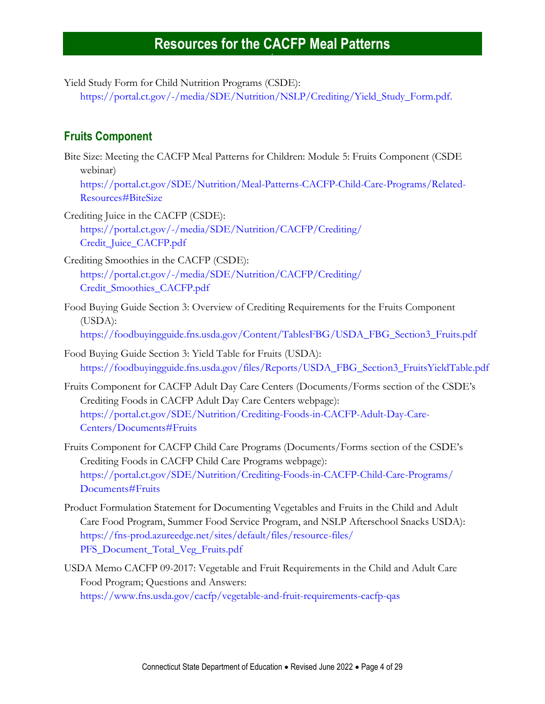Yield Study Form for Child Nutrition Programs (CSDE):

[https://portal.ct.gov/-/media/SDE/Nutrition/NSLP/Crediting/Yield\\_Study\\_Form.pdf.](https://portal.ct.gov/-/media/SDE/Nutrition/NSLP/Crediting/Yield_Study_Form.pdf)

#### <span id="page-3-0"></span>**Fruits Component**

Bite Size: Meeting the CACFP Meal Patterns for Children: Module 5: Fruits Component (CSDE webinar)

[https://portal.ct.gov/SDE/Nutrition/Meal-Patterns-CACFP-Child-Care-Programs/Related-](https://portal.ct.gov/SDE/Nutrition/Meal-Patterns-CACFP-Child-Care-Programs/Related-Resources#BiteSize)[Resources#BiteSize](https://portal.ct.gov/SDE/Nutrition/Meal-Patterns-CACFP-Child-Care-Programs/Related-Resources#BiteSize)

Crediting Juice in the CACFP (CSDE): [https://portal.ct.gov/-/media/SDE/Nutrition/CACFP/Crediting/](https://portal.ct.gov/-/media/SDE/Nutrition/CACFP/Crediting/Credit_Juice_CACFP.pdf) [Credit\\_Juice\\_CACFP.pdf](https://portal.ct.gov/-/media/SDE/Nutrition/CACFP/Crediting/Credit_Juice_CACFP.pdf)

Crediting Smoothies in the CACFP (CSDE): [https://portal.ct.gov/-/media/SDE/Nutrition/CACFP/Crediting/](https://portal.ct.gov/-/media/SDE/Nutrition/CACFP/Crediting/Credit_Smoothies_CACFP.pdf) [Credit\\_Smoothies\\_CACFP.pdf](https://portal.ct.gov/-/media/SDE/Nutrition/CACFP/Crediting/Credit_Smoothies_CACFP.pdf)

- Food Buying Guide Section 3: Overview of Crediting Requirements for the Fruits Component (USDA): [https://foodbuyingguide.fns.usda.gov/Content/TablesFBG/USDA\\_FBG\\_Section3\\_Fruits.pdf](https://foodbuyingguide.fns.usda.gov/Content/TablesFBG/USDA_FBG_Section3_Fruits.pdf)
- Food Buying Guide Section 3: Yield Table for Fruits (USDA): [https://foodbuyingguide.fns.usda.gov/files/Reports/USDA\\_FBG\\_Section3\\_FruitsYieldTable.pdf](https://foodbuyingguide.fns.usda.gov/files/Reports/USDA_FBG_Section3_FruitsYieldTable.pdf)
- Fruits Component for CACFP Adult Day Care Centers (Documents/Forms section of the CSDE's Crediting Foods in CACFP Adult Day Care Centers webpage): [https://portal.ct.gov/SDE/Nutrition/Crediting-Foods-in-CACFP-Adult-Day-Care-](https://portal.ct.gov/SDE/Nutrition/Crediting-Foods-in-CACFP-Adult-Day-Care-Centers/Documents#Fruits)[Centers/Documents#Fruits](https://portal.ct.gov/SDE/Nutrition/Crediting-Foods-in-CACFP-Adult-Day-Care-Centers/Documents#Fruits)
- Fruits Component for CACFP Child Care Programs (Documents/Forms section of the CSDE's Crediting Foods in CACFP Child Care Programs webpage): [https://portal.ct.gov/SDE/Nutrition/Crediting-Foods-in-CACFP-Child-Care-Programs/](https://portal.ct.gov/SDE/Nutrition/Crediting-Foods-in-CACFP-Child-Care-Programs/Documents#Fruits) [Documents#Fruits](https://portal.ct.gov/SDE/Nutrition/Crediting-Foods-in-CACFP-Child-Care-Programs/Documents#Fruits)
- Product Formulation Statement for Documenting Vegetables and Fruits in the Child and Adult Care Food Program, Summer Food Service Program, and NSLP Afterschool Snacks USDA): [https://fns-prod.azureedge.net/sites/default/files/resource-files/](https://fns-prod.azureedge.net/sites/default/files/resource-files/PFS_Document_Total_Veg_Fruits.pdf) [PFS\\_Document\\_Total\\_Veg\\_Fruits.pdf](https://fns-prod.azureedge.net/sites/default/files/resource-files/PFS_Document_Total_Veg_Fruits.pdf)
- USDA Memo CACFP 09-2017: Vegetable and Fruit Requirements in the Child and Adult Care Food Program; Questions and Answers: <https://www.fns.usda.gov/cacfp/vegetable-and-fruit-requirements-cacfp-qas>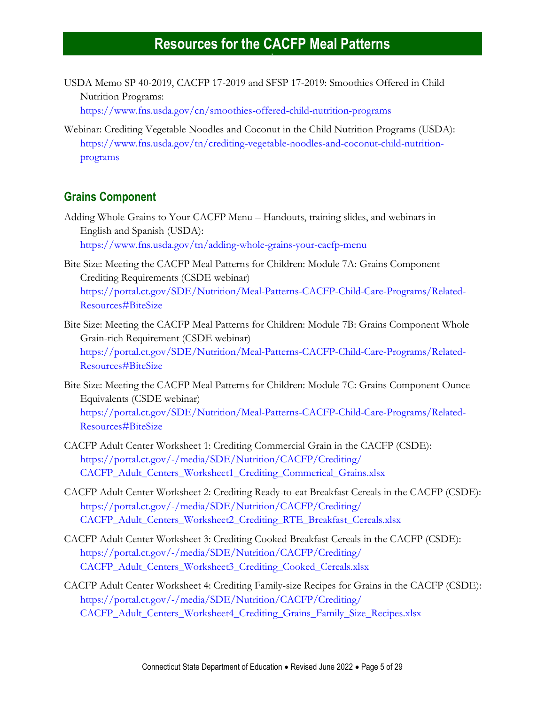USDA Memo SP 40-2019, CACFP 17-2019 and SFSP 17-2019: Smoothies Offered in Child Nutrition Programs: <https://www.fns.usda.gov/cn/smoothies-offered-child-nutrition-programs>

Webinar: Crediting Vegetable Noodles and Coconut in the Child Nutrition Programs (USDA): [https://www.fns.usda.gov/tn/crediting-vegetable-noodles-and-coconut-child-nutrition](https://www.fns.usda.gov/tn/crediting-vegetable-noodles-and-coconut-child-nutrition-programs)[programs](https://www.fns.usda.gov/tn/crediting-vegetable-noodles-and-coconut-child-nutrition-programs)

#### **Grains Component**

Adding Whole Grains to Your CACFP Menu – Handouts, training slides, and webinars in English and Spanish (USDA): <https://www.fns.usda.gov/tn/adding-whole-grains-your-cacfp-menu>

Bite Size: Meeting the CACFP Meal Patterns for Children: Module 7A: Grains Component Crediting Requirements (CSDE webinar) [https://portal.ct.gov/SDE/Nutrition/Meal-Patterns-CACFP-Child-Care-Programs/Related-](https://portal.ct.gov/SDE/Nutrition/Meal-Patterns-CACFP-Child-Care-Programs/Related-Resources#BiteSize)[Resources#BiteSize](https://portal.ct.gov/SDE/Nutrition/Meal-Patterns-CACFP-Child-Care-Programs/Related-Resources#BiteSize)

Bite Size: Meeting the CACFP Meal Patterns for Children: Module 7B: Grains Component Whole Grain-rich Requirement (CSDE webinar) [https://portal.ct.gov/SDE/Nutrition/Meal-Patterns-CACFP-Child-Care-Programs/Related-](https://portal.ct.gov/SDE/Nutrition/Meal-Patterns-CACFP-Child-Care-Programs/Related-Resources#BiteSize)[Resources#BiteSize](https://portal.ct.gov/SDE/Nutrition/Meal-Patterns-CACFP-Child-Care-Programs/Related-Resources#BiteSize)

Bite Size: Meeting the CACFP Meal Patterns for Children: Module 7C: Grains Component Ounce Equivalents (CSDE webinar) [https://portal.ct.gov/SDE/Nutrition/Meal-Patterns-CACFP-Child-Care-Programs/Related-](https://portal.ct.gov/SDE/Nutrition/Meal-Patterns-CACFP-Child-Care-Programs/Related-Resources#BiteSize)[Resources#BiteSize](https://portal.ct.gov/SDE/Nutrition/Meal-Patterns-CACFP-Child-Care-Programs/Related-Resources#BiteSize)

- CACFP Adult Center Worksheet 1: Crediting Commercial Grain in the CACFP (CSDE): [https://portal.ct.gov/-/media/SDE/Nutrition/CACFP/Crediting/](https://portal.ct.gov/-/media/SDE/Nutrition/CACFP/Crediting/CACFP_Adult_Centers_Worksheet1_Crediting_Commerical_Grains.xlsx) [CACFP\\_Adult\\_Centers\\_Worksheet1\\_Crediting\\_Commerical\\_Grains.xlsx](https://portal.ct.gov/-/media/SDE/Nutrition/CACFP/Crediting/CACFP_Adult_Centers_Worksheet1_Crediting_Commerical_Grains.xlsx)
- CACFP Adult Center Worksheet 2: Crediting Ready-to-eat Breakfast Cereals in the CACFP (CSDE): [https://portal.ct.gov/-/media/SDE/Nutrition/CACFP/Crediting/](https://portal.ct.gov/-/media/SDE/Nutrition/CACFP/Crediting/CACFP_Adult_Centers_Worksheet2_Crediting_RTE_Breakfast_Cereals.xlsx) [CACFP\\_Adult\\_Centers\\_Worksheet2\\_Crediting\\_RTE\\_Breakfast\\_Cereals.xlsx](https://portal.ct.gov/-/media/SDE/Nutrition/CACFP/Crediting/CACFP_Adult_Centers_Worksheet2_Crediting_RTE_Breakfast_Cereals.xlsx)
- CACFP Adult Center Worksheet 3: Crediting Cooked Breakfast Cereals in the CACFP (CSDE): [https://portal.ct.gov/-/media/SDE/Nutrition/CACFP/Crediting/](https://portal.ct.gov/-/media/SDE/Nutrition/CACFP/Crediting/CACFP_Adult_Centers_Worksheet3_Crediting_Cooked_Cereals.xlsx) [CACFP\\_Adult\\_Centers\\_Worksheet3\\_Crediting\\_Cooked\\_Cereals.xlsx](https://portal.ct.gov/-/media/SDE/Nutrition/CACFP/Crediting/CACFP_Adult_Centers_Worksheet3_Crediting_Cooked_Cereals.xlsx)
- CACFP Adult Center Worksheet 4: Crediting Family-size Recipes for Grains in the CACFP (CSDE): [https://portal.ct.gov/-/media/SDE/Nutrition/CACFP/Crediting/](https://portal.ct.gov/-/media/SDE/Nutrition/CACFP/Crediting/CACFP_Adult_Centers_Worksheet4_Crediting_Grains_Family_Size_Recipes.xlsx) [CACFP\\_Adult\\_Centers\\_Worksheet4\\_Crediting\\_Grains\\_Family\\_Size\\_Recipes.xlsx](https://portal.ct.gov/-/media/SDE/Nutrition/CACFP/Crediting/CACFP_Adult_Centers_Worksheet4_Crediting_Grains_Family_Size_Recipes.xlsx)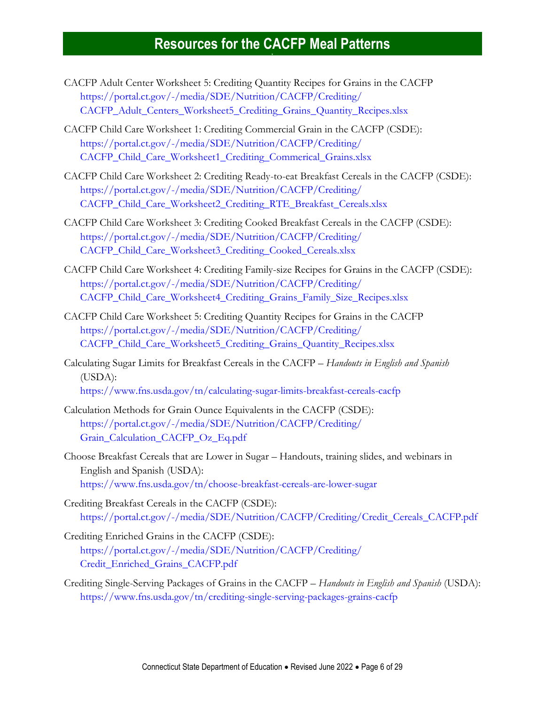- CACFP Adult Center Worksheet 5: Crediting Quantity Recipes for Grains in the CACFP [https://portal.ct.gov/-/media/SDE/Nutrition/CACFP/Crediting/](https://portal.ct.gov/-/media/SDE/Nutrition/CACFP/Crediting/CACFP_Adult_Centers_Worksheet5_Crediting_Grains_Quantity_Recipes.xlsx) [CACFP\\_Adult\\_Centers\\_Worksheet5\\_Crediting\\_Grains\\_Quantity\\_Recipes.xlsx](https://portal.ct.gov/-/media/SDE/Nutrition/CACFP/Crediting/CACFP_Adult_Centers_Worksheet5_Crediting_Grains_Quantity_Recipes.xlsx)
- CACFP Child Care Worksheet 1: Crediting Commercial Grain in the CACFP (CSDE): [https://portal.ct.gov/-/media/SDE/Nutrition/CACFP/Crediting/](https://portal.ct.gov/-/media/SDE/Nutrition/CACFP/Crediting/CACFP_Child_Care_Worksheet1_Crediting_Commerical_Grains.xlsx) [CACFP\\_Child\\_Care\\_Worksheet1\\_Crediting\\_Commerical\\_Grains.xlsx](https://portal.ct.gov/-/media/SDE/Nutrition/CACFP/Crediting/CACFP_Child_Care_Worksheet1_Crediting_Commerical_Grains.xlsx)
- CACFP Child Care Worksheet 2: Crediting Ready-to-eat Breakfast Cereals in the CACFP (CSDE): [https://portal.ct.gov/-/media/SDE/Nutrition/CACFP/Crediting/](https://portal.ct.gov/-/media/SDE/Nutrition/CACFP/Crediting/CACFP_Child_Care_Worksheet2_Crediting_RTE_Breakfast_Cereals.xlsx) [CACFP\\_Child\\_Care\\_Worksheet2\\_Crediting\\_RTE\\_Breakfast\\_Cereals.xlsx](https://portal.ct.gov/-/media/SDE/Nutrition/CACFP/Crediting/CACFP_Child_Care_Worksheet2_Crediting_RTE_Breakfast_Cereals.xlsx)
- CACFP Child Care Worksheet 3: Crediting Cooked Breakfast Cereals in the CACFP (CSDE): [https://portal.ct.gov/-/media/SDE/Nutrition/CACFP/Crediting/](https://portal.ct.gov/-/media/SDE/Nutrition/CACFP/Crediting/CACFP_Child_Care_Worksheet3_Crediting_Cooked_Cereals.xlsx) [CACFP\\_Child\\_Care\\_Worksheet3\\_Crediting\\_Cooked\\_Cereals.xlsx](https://portal.ct.gov/-/media/SDE/Nutrition/CACFP/Crediting/CACFP_Child_Care_Worksheet3_Crediting_Cooked_Cereals.xlsx)
- CACFP Child Care Worksheet 4: Crediting Family-size Recipes for Grains in the CACFP (CSDE): [https://portal.ct.gov/-/media/SDE/Nutrition/CACFP/Crediting/](https://portal.ct.gov/-/media/SDE/Nutrition/CACFP/Crediting/CACFP_Child_Care_Worksheet4_Crediting_Grains_Family_Size_Recipes.xlsx) [CACFP\\_Child\\_Care\\_Worksheet4\\_Crediting\\_Grains\\_Family\\_Size\\_Recipes.xlsx](https://portal.ct.gov/-/media/SDE/Nutrition/CACFP/Crediting/CACFP_Child_Care_Worksheet4_Crediting_Grains_Family_Size_Recipes.xlsx)
- CACFP Child Care Worksheet 5: Crediting Quantity Recipes for Grains in the CACFP [https://portal.ct.gov/-/media/SDE/Nutrition/CACFP/Crediting/](https://portal.ct.gov/-/media/SDE/Nutrition/CACFP/Crediting/CACFP_Child_Care_Worksheet5_Crediting_Grains_Quantity_Recipes.xlsx) [CACFP\\_Child\\_Care\\_Worksheet5\\_Crediting\\_Grains\\_Quantity\\_Recipes.xlsx](https://portal.ct.gov/-/media/SDE/Nutrition/CACFP/Crediting/CACFP_Child_Care_Worksheet5_Crediting_Grains_Quantity_Recipes.xlsx)
- Calculating Sugar Limits for Breakfast Cereals in the CACFP *Handouts in English and Spanish* (USDA): <https://www.fns.usda.gov/tn/calculating-sugar-limits-breakfast-cereals-cacfp>
- Calculation Methods for Grain Ounce Equivalents in the CACFP (CSDE): [https://portal.ct.gov/-/media/SDE/Nutrition/CACFP/Crediting/](https://portal.ct.gov/-/media/SDE/Nutrition/CACFP/Crediting/Grain_Calculation_CACFP_Oz_Eq.pdf) [Grain\\_Calculation\\_CACFP\\_Oz\\_Eq.pdf](https://portal.ct.gov/-/media/SDE/Nutrition/CACFP/Crediting/Grain_Calculation_CACFP_Oz_Eq.pdf)
- Choose Breakfast Cereals that are Lower in Sugar Handouts, training slides, and webinars in English and Spanish (USDA): <https://www.fns.usda.gov/tn/choose-breakfast-cereals-are-lower-sugar>
- Crediting Breakfast Cereals in the CACFP (CSDE): [https://portal.ct.gov/-/media/SDE/Nutrition/CACFP/Crediting/Credit\\_Cereals\\_CACFP.pdf](https://portal.ct.gov/-/media/SDE/Nutrition/CACFP/Crediting/Credit_Cereals_CACFP.pdf)
- Crediting Enriched Grains in the CACFP (CSDE): [https://portal.ct.gov/-/media/SDE/Nutrition/CACFP/Crediting/](https://portal.ct.gov/-/media/SDE/Nutrition/CACFP/Crediting/CreditEnrichedGrainsCACFP.pdf) [Credit\\_Enriched\\_Grains\\_CACFP.pdf](https://portal.ct.gov/-/media/SDE/Nutrition/CACFP/Crediting/CreditEnrichedGrainsCACFP.pdf)
- Crediting Single-Serving Packages of Grains in the CACFP *Handouts in English and Spanish* (USDA): <https://www.fns.usda.gov/tn/crediting-single-serving-packages-grains-cacfp>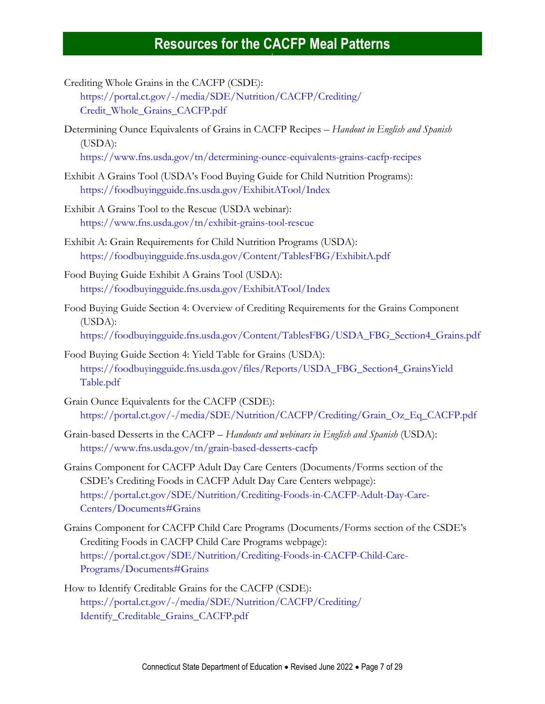Crediting Whole Grains in the CACFP (CSDE):

[https://portal.ct.gov/-/media/SDE/Nutrition/CACFP/Crediting/](https://portal.ct.gov/-/media/SDE/Nutrition/CACFP/Crediting/‌Credit_Whole_Grains_CACFP.pdf) [Credit\\_Whole\\_Grains\\_CACFP.pdf](https://portal.ct.gov/-/media/SDE/Nutrition/CACFP/Crediting/‌Credit_Whole_Grains_CACFP.pdf)

Determining Ounce Equivalents of Grains in CACFP Recipes – *Handout in English and Spanish* (USDA):

<https://www.fns.usda.gov/tn/determining-ounce-equivalents-grains-cacfp-recipes>

- Exhibit A Grains Tool (USDA's Food Buying Guide for Child Nutrition Programs): <https://foodbuyingguide.fns.usda.gov/ExhibitATool/Index>
- Exhibit A Grains Tool to the Rescue (USDA webinar): <https://www.fns.usda.gov/tn/exhibit-grains-tool-rescue>
- Exhibit A: Grain Requirements for Child Nutrition Programs (USDA): <https://foodbuyingguide.fns.usda.gov/Content/TablesFBG/ExhibitA.pdf>
- Food Buying Guide Exhibit A Grains Tool (USDA): <https://foodbuyingguide.fns.usda.gov/ExhibitATool/Index>
- Food Buying Guide Section 4: Overview of Crediting Requirements for the Grains Component (USDA): [https://foodbuyingguide.fns.usda.gov/Content/TablesFBG/USDA\\_FBG\\_Section4\\_Grains.pdf](https://foodbuyingguide.fns.usda.gov/Content/TablesFBG/USDA_FBG_Section4_Grains.pdf)
- Food Buying Guide Section 4: Yield Table for Grains (USDA): [https://foodbuyingguide.fns.usda.gov/files/Reports/USDA\\_FBG\\_Section4\\_GrainsYield](https://foodbuyingguide.fns.usda.gov/files/Reports/USDA_FBG_Section4_GrainsYieldTable.pdf) [Table.pdf](https://foodbuyingguide.fns.usda.gov/files/Reports/USDA_FBG_Section4_GrainsYieldTable.pdf)
- Grain Ounce Equivalents for the CACFP (CSDE): [https://portal.ct.gov/-/media/SDE/Nutrition/CACFP/Crediting/Grain\\_Oz\\_Eq\\_CACFP.pdf](https://portal.ct.gov/-/media/SDE/Nutrition/CACFP/Crediting/Grain_Oz_Eq_CACFP.pdf)
- Grain-based Desserts in the CACFP *Handouts and webinars in English and Spanish* (USDA): <https://www.fns.usda.gov/tn/grain-based-desserts-cacfp>
- Grains Component for CACFP Adult Day Care Centers (Documents/Forms section of the CSDE's Crediting Foods in CACFP Adult Day Care Centers webpage): [https://portal.ct.gov/SDE/Nutrition/Crediting-Foods-in-CACFP-Adult-Day-Care-](https://portal.ct.gov/SDE/Nutrition/Crediting-Foods-in-CACFP-Adult-Day-Care-Centers/Documents#Grains)[Centers/Documents#Grains](https://portal.ct.gov/SDE/Nutrition/Crediting-Foods-in-CACFP-Adult-Day-Care-Centers/Documents#Grains)
- Grains Component for CACFP Child Care Programs (Documents/Forms section of the CSDE's Crediting Foods in CACFP Child Care Programs webpage): [https://portal.ct.gov/SDE/Nutrition/Crediting-Foods-in-CACFP-Child-Care-](https://portal.ct.gov/SDE/Nutrition/Crediting-Foods-in-CACFP-Child-Care-Programs/Documents#Grains)[Programs/Documents#Grains](https://portal.ct.gov/SDE/Nutrition/Crediting-Foods-in-CACFP-Child-Care-Programs/Documents#Grains)
- How to Identify Creditable Grains for the CACFP (CSDE): [https://portal.ct.gov/-/media/SDE/Nutrition/CACFP/Crediting/](https://portal.ct.gov/-/media/SDE/Nutrition/CACFP/Crediting/Identify_Creditable_Grains_CACFP.pdf) [Identify\\_Creditable\\_Grains\\_CACFP.pdf](https://portal.ct.gov/-/media/SDE/Nutrition/CACFP/Crediting/Identify_Creditable_Grains_CACFP.pdf)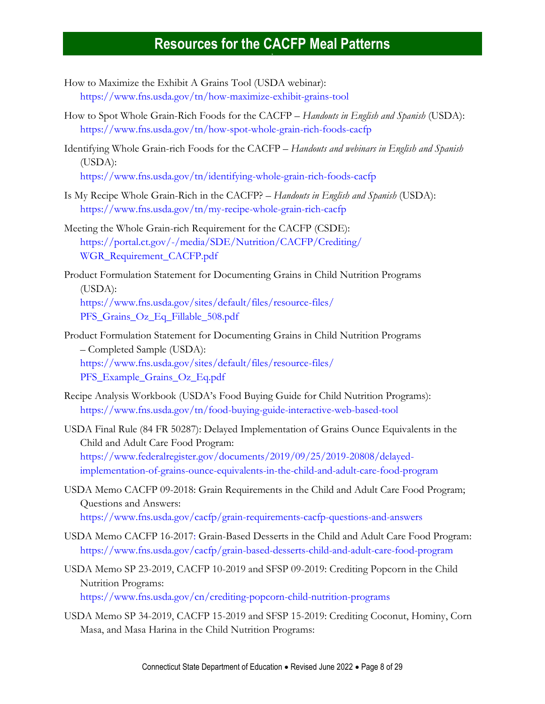- How to Maximize the Exhibit A Grains Tool (USDA webinar): <https://www.fns.usda.gov/tn/how-maximize-exhibit-grains-tool>
- How to Spot Whole Grain-Rich Foods for the CACFP *Handouts in English and Spanish* (USDA): <https://www.fns.usda.gov/tn/how-spot-whole-grain-rich-foods-cacfp>
- Identifying Whole Grain-rich Foods for the CACFP *Handouts and webinars in English and Spanish*  (USDA): <https://www.fns.usda.gov/tn/identifying-whole-grain-rich-foods-cacfp>
- Is My Recipe Whole Grain-Rich in the CACFP? *Handouts in English and Spanish* (USDA): <https://www.fns.usda.gov/tn/my-recipe-whole-grain-rich-cacfp>
- Meeting the Whole Grain-rich Requirement for the CACFP (CSDE): [https://portal.ct.gov/-/media/SDE/Nutrition/CACFP/Crediting/](https://portal.ct.gov/-/media/SDE/Nutrition/CACFP/Crediting/WGR_Requirement_CACFP.pdf) [WGR\\_Requirement\\_CACFP.pdf](https://portal.ct.gov/-/media/SDE/Nutrition/CACFP/Crediting/WGR_Requirement_CACFP.pdf)
- Product Formulation Statement for Documenting Grains in Child Nutrition Programs (USDA): [https://www.fns.usda.gov/sites/default/files/resource-files/](https://www.fns.usda.gov/sites/default/files/resource-files/PFS_Grains_Oz_Eq_Fillable_508.pdf) [PFS\\_Grains\\_Oz\\_Eq\\_Fillable\\_508.pdf](https://www.fns.usda.gov/sites/default/files/resource-files/PFS_Grains_Oz_Eq_Fillable_508.pdf)
- Product Formulation Statement for Documenting Grains in Child Nutrition Programs – Completed Sample (USDA): [https://www.fns.usda.gov/sites/default/files/resource-files/](https://www.fns.usda.gov/sites/default/files/resource-files/PFS_Example_Grains_Oz_Eq.pdf) [PFS\\_Example\\_Grains\\_Oz\\_Eq.pdf](https://www.fns.usda.gov/sites/default/files/resource-files/PFS_Example_Grains_Oz_Eq.pdf)
- Recipe Analysis Workbook (USDA's Food Buying Guide for Child Nutrition Programs): <https://www.fns.usda.gov/tn/food-buying-guide-interactive-web-based-tool>
- USDA Final Rule (84 FR 50287): Delayed Implementation of Grains Ounce Equivalents in the Child and Adult Care Food Program: [https://www.federalregister.gov/documents/2019/09/25/2019-20808/delayed](https://www.federalregister.gov/documents/2019/09/25/2019-20808/delayed-implementation-of-grains-ounce-equivalents-in-the-child-and-adult-care-food-program)[implementation-of-grains-ounce-equivalents-in-the-child-and-adult-care-food-program](https://www.federalregister.gov/documents/2019/09/25/2019-20808/delayed-implementation-of-grains-ounce-equivalents-in-the-child-and-adult-care-food-program)
- USDA Memo CACFP 09-2018: Grain Requirements in the Child and Adult Care Food Program; Questions and Answers: <https://www.fns.usda.gov/cacfp/grain-requirements-cacfp-questions-and-answers>
- USDA Memo CACFP 16-2017: Grain-Based Desserts in the Child and Adult Care Food Program: <https://www.fns.usda.gov/cacfp/grain-based-desserts-child-and-adult-care-food-program>
- USDA Memo SP 23-2019, CACFP 10-2019 and SFSP 09-2019: Crediting Popcorn in the Child Nutrition Programs: <https://www.fns.usda.gov/cn/crediting-popcorn-child-nutrition-programs>
- USDA Memo SP 34-2019, CACFP 15-2019 and SFSP 15-2019: Crediting Coconut, Hominy, Corn Masa, and Masa Harina in the Child Nutrition Programs: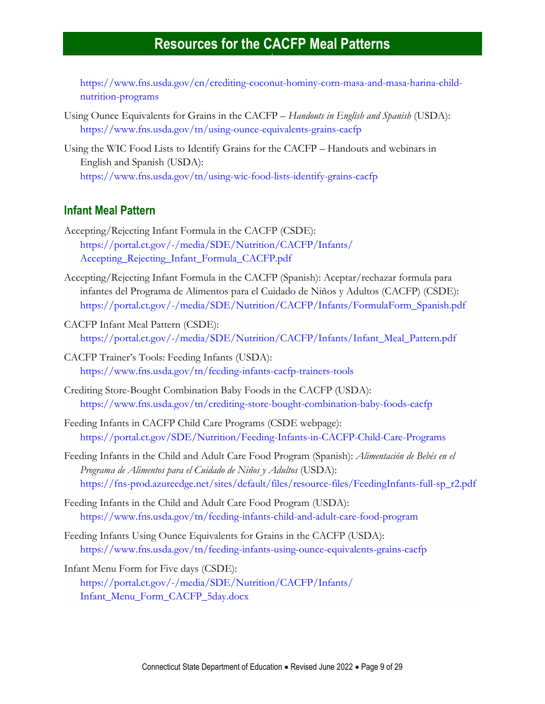[https://www.fns.usda.gov/cn/crediting-coconut-hominy-corn-masa-and-masa-harina-child](https://www.fns.usda.gov/cn/crediting-coconut-hominy-corn-masa-and-masa-harina-child-nutrition-programs)[nutrition-programs](https://www.fns.usda.gov/cn/crediting-coconut-hominy-corn-masa-and-masa-harina-child-nutrition-programs)

- Using Ounce Equivalents for Grains in the CACFP *Handouts in English and Spanish* (USDA): <https://www.fns.usda.gov/tn/using-ounce-equivalents-grains-cacfp>
- Using the WIC Food Lists to Identify Grains for the CACFP Handouts and webinars in English and Spanish (USDA): <https://www.fns.usda.gov/tn/using-wic-food-lists-identify-grains-cacfp>

#### <span id="page-8-0"></span>**Infant Meal Pattern**

- Accepting/Rejecting Infant Formula in the CACFP (CSDE): [https://portal.ct.gov/-/media/SDE/Nutrition/CACFP/Infants/](https://portal.ct.gov/-/media/SDE/Nutrition/CACFP/Infants/Accepting_Rejecting_Infant_Formula_CACFP.pdf) [Accepting\\_Rejecting\\_Infant\\_Formula\\_CACFP.pdf](https://portal.ct.gov/-/media/SDE/Nutrition/CACFP/Infants/Accepting_Rejecting_Infant_Formula_CACFP.pdf)
- Accepting/Rejecting Infant Formula in the CACFP (Spanish): Aceptar/rechazar formula para infantes del Programa de Alimentos para el Cuidado de Niños y Adultos (CACFP) (CSDE): [https://portal.ct.gov/-/media/SDE/Nutrition/CACFP/Infants/FormulaForm\\_Spanish.pdf](https://portal.ct.gov/-/media/SDE/Nutrition/CACFP/Infants/FormulaForm_Spanish.pdf)
- CACFP Infant Meal Pattern (CSDE): [https://portal.ct.gov/-/media/SDE/Nutrition/CACFP/Infants/Infant\\_Meal\\_Pattern.pdf](https://portal.ct.gov/-/media/SDE/Nutrition/CACFP/Infants/Infant_Meal_Pattern.pdf)
- CACFP Trainer's Tools: Feeding Infants (USDA): <https://www.fns.usda.gov/tn/feeding-infants-cacfp-trainers-tools>
- Crediting Store-Bought Combination Baby Foods in the CACFP (USDA): <https://www.fns.usda.gov/tn/crediting-store-bought-combination-baby-foods-cacfp>
- Feeding Infants in CACFP Child Care Programs (CSDE webpage): <https://portal.ct.gov/SDE/Nutrition/Feeding-Infants-in-CACFP-Child-Care-Programs>
- Feeding Infants in the Child and Adult Care Food Program (Spanish): *Alimentación de Bebés en el Programa de Alimentos para el Cuidado de Niños y Adultos* (USDA): [https://fns-prod.azureedge.net/sites/default/files/resource-files/FeedingInfants-full-sp\\_r2.pdf](https://fns-prod.azureedge.net/sites/default/files/resource-files/FeedingInfants-full-sp_r2.pdf)
- Feeding Infants in the Child and Adult Care Food Program (USDA): <https://www.fns.usda.gov/tn/feeding-infants-child-and-adult-care-food-program>
- Feeding Infants Using Ounce Equivalents for Grains in the CACFP (USDA): <https://www.fns.usda.gov/tn/feeding-infants-using-ounce-equivalents-grains-cacfp>

Infant Menu Form for Five days (CSDE): [https://portal.ct.gov/-/media/SDE/Nutrition/CACFP/Infants/](https://portal.ct.gov/-/media/SDE/Nutrition/CACFP/Infants/Infant_Menu_Form_CACFP_5day.docx) [Infant\\_Menu\\_Form\\_CACFP\\_5day.docx](https://portal.ct.gov/-/media/SDE/Nutrition/CACFP/Infants/Infant_Menu_Form_CACFP_5day.docx)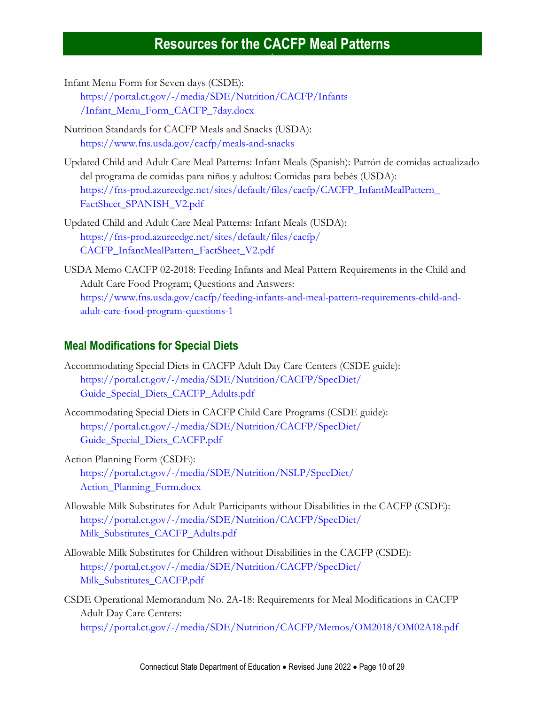Infant Menu Form for Seven days (CSDE):

[https://portal.ct.gov/-/media/SDE/Nutrition/CACFP/Infants](https://portal.ct.gov/-/media/SDE/Nutrition/CACFP/Infants/Infant_Menu_Form_CACFP_7day.docx) [/Infant\\_Menu\\_Form\\_CACFP\\_7day.docx](https://portal.ct.gov/-/media/SDE/Nutrition/CACFP/Infants/Infant_Menu_Form_CACFP_7day.docx)

- Nutrition Standards for CACFP Meals and Snacks (USDA): <https://www.fns.usda.gov/cacfp/meals-and-snacks>
- Updated Child and Adult Care Meal Patterns: Infant Meals (Spanish): Patrón de comidas actualizado del programa de comidas para niños y adultos: Comidas para bebés (USDA): [https://fns-prod.azureedge.net/sites/default/files/cacfp/CACFP\\_InfantMealPattern\\_](https://fns-prod.azureedge.net/sites/default/files/cacfp/CACFP_InfantMealPattern_FactSheet_SPANISH_V2.pdf) [FactSheet\\_SPANISH\\_V2.pdf](https://fns-prod.azureedge.net/sites/default/files/cacfp/CACFP_InfantMealPattern_FactSheet_SPANISH_V2.pdf)
- Updated Child and Adult Care Meal Patterns: Infant Meals (USDA): [https://fns-prod.azureedge.net/sites/default/files/cacfp/](https://fns-prod.azureedge.net/sites/default/files/cacfp/CACFP_InfantMealPattern_FactSheet_V2.pdf) [CACFP\\_InfantMealPattern\\_FactSheet\\_V2.pdf](https://fns-prod.azureedge.net/sites/default/files/cacfp/CACFP_InfantMealPattern_FactSheet_V2.pdf)
- USDA Memo CACFP 02-2018: Feeding Infants and Meal Pattern Requirements in the Child and Adult Care Food Program; Questions and Answers: [https://www.fns.usda.gov/cacfp/feeding-infants-and-meal-pattern-requirements-child-and](https://www.fns.usda.gov/cacfp/feeding-infants-and-meal-pattern-requirements-child-and-adult-care-food-program-questions-1)[adult-care-food-program-questions-1](https://www.fns.usda.gov/cacfp/feeding-infants-and-meal-pattern-requirements-child-and-adult-care-food-program-questions-1)

#### <span id="page-9-0"></span>**Meal Modifications for Special Diets**

- Accommodating Special Diets in CACFP Adult Day Care Centers (CSDE guide): [https://portal.ct.gov/-/media/SDE/Nutrition/CACFP/SpecDiet/](https://portal.ct.gov/-/media/SDE/Nutrition/CACFP/SpecDiet/‌Guide_Special_Diets_CACFP_Adults.pdf) [Guide\\_Special\\_Diets\\_CACFP\\_Adults.pdf](https://portal.ct.gov/-/media/SDE/Nutrition/CACFP/SpecDiet/‌Guide_Special_Diets_CACFP_Adults.pdf)
- Accommodating Special Diets in CACFP Child Care Programs (CSDE guide): [https://portal.ct.gov/-/media/SDE/Nutrition/CACFP/SpecDiet/](https://portal.ct.gov/-/media/SDE/Nutrition/CACFP/SpecDiet/Guide_Special_Diets_CACFP.pdf) [Guide\\_Special\\_Diets\\_CACFP.pdf](https://portal.ct.gov/-/media/SDE/Nutrition/CACFP/SpecDiet/Guide_Special_Diets_CACFP.pdf)
- Action Planning Form (CSDE): [https://portal.ct.gov/-/media/SDE/Nutrition/NSLP/SpecDiet/](https://portal.ct.gov/-/media/SDE/Nutrition/NSLP/SpecDiet/Action_Planning_Form.docx) [Action\\_Planning\\_Form.docx](https://portal.ct.gov/-/media/SDE/Nutrition/NSLP/SpecDiet/Action_Planning_Form.docx)
- Allowable Milk Substitutes for Adult Participants without Disabilities in the CACFP (CSDE): [https://portal.ct.gov/-/media/SDE/Nutrition/CACFP/SpecDiet/](https://portal.ct.gov/-/media/SDE/Nutrition/CACFP/SpecDiet/Milk_Substitutes_CACFP_Adults.pdf) [Milk\\_Substitutes\\_CACFP\\_Adults.pdf](https://portal.ct.gov/-/media/SDE/Nutrition/CACFP/SpecDiet/Milk_Substitutes_CACFP_Adults.pdf)
- Allowable Milk Substitutes for Children without Disabilities in the CACFP (CSDE): [https://portal.ct.gov/-/media/SDE/Nutrition/CACFP/SpecDiet/](https://portal.ct.gov/-/media/SDE/Nutrition/CACFP/SpecDiet/Milk_Substitutes_CACFP.pdf) [Milk\\_Substitutes\\_CACFP.pdf](https://portal.ct.gov/-/media/SDE/Nutrition/CACFP/SpecDiet/Milk_Substitutes_CACFP.pdf)
- CSDE Operational Memorandum No. 2A-18: Requirements for Meal Modifications in CACFP Adult Day Care Centers: <https://portal.ct.gov/-/media/SDE/Nutrition/CACFP/Memos/OM2018/OM02A18.pdf>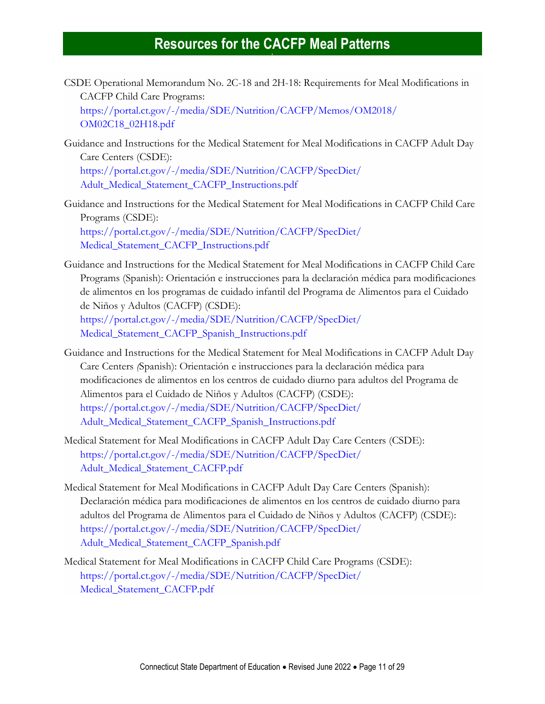- CSDE Operational Memorandum No. 2C-18 and 2H-18: Requirements for Meal Modifications in CACFP Child Care Programs: [https://portal.ct.gov/-/media/SDE/Nutrition/CACFP/Memos/OM2018/](https://portal.ct.gov/-/media/SDE/Nutrition/CACFP/Memos/OM2018/OM02C18_02H18.pdf) [OM02C18\\_02H18.pdf](https://portal.ct.gov/-/media/SDE/Nutrition/CACFP/Memos/OM2018/OM02C18_02H18.pdf)
- Guidance and Instructions for the Medical Statement for Meal Modifications in CACFP Adult Day Care Centers (CSDE): [https://portal.ct.gov/-/media/SDE/Nutrition/CACFP/SpecDiet/](https://portal.ct.gov/-/media/SDE/Nutrition/CACFP/SpecDiet/‌Adult_Medical_Statement_CACFP_Instructions.pdf)

[Adult\\_Medical\\_Statement\\_CACFP\\_Instructions.pdf](https://portal.ct.gov/-/media/SDE/Nutrition/CACFP/SpecDiet/‌Adult_Medical_Statement_CACFP_Instructions.pdf)

- Guidance and Instructions for the Medical Statement for Meal Modifications in CACFP Child Care Programs (CSDE): [https://portal.ct.gov/-/media/SDE/Nutrition/CACFP/SpecDiet/](https://portal.ct.gov/-/media/SDE/Nutrition/CACFP/SpecDiet/Medical_Statement_CACFP_Instructions.pdf) [Medical\\_Statement\\_CACFP\\_Instructions.pdf](https://portal.ct.gov/-/media/SDE/Nutrition/CACFP/SpecDiet/Medical_Statement_CACFP_Instructions.pdf)
- Guidance and Instructions for the Medical Statement for Meal Modifications in CACFP Child Care Programs (Spanish): Orientación e instrucciones para la declaración médica para modificaciones de alimentos en los programas de cuidado infantil del Programa de Alimentos para el Cuidado de Niños y Adultos (CACFP) (CSDE): [https://portal.ct.gov/-/media/SDE/Nutrition/CACFP/SpecDiet/](https://portal.ct.gov/-/media/SDE/Nutrition/CACFP/SpecDiet/‌Medical_Statement_CACFP_Spanish_Instructions.pdf) [Medical\\_Statement\\_CACFP\\_Spanish\\_Instructions.pdf](https://portal.ct.gov/-/media/SDE/Nutrition/CACFP/SpecDiet/‌Medical_Statement_CACFP_Spanish_Instructions.pdf)
- Guidance and Instructions for the Medical Statement for Meal Modifications in CACFP Adult Day Care Centers *(*Spanish): Orientación e instrucciones para la declaración médica para modificaciones de alimentos en los centros de cuidado diurno para adultos del Programa de Alimentos para el Cuidado de Niños y Adultos (CACFP) (CSDE): [https://portal.ct.gov/-/media/SDE/Nutrition/CACFP/SpecDiet/](https://portal.ct.gov/-/media/SDE/Nutrition/CACFP/SpecDiet/%20Adult_Medical_Statement_CACFP_Spanish_Instructions.pdf) [Adult\\_Medical\\_Statement\\_CACFP\\_Spanish\\_Instructions.pdf](https://portal.ct.gov/-/media/SDE/Nutrition/CACFP/SpecDiet/%20Adult_Medical_Statement_CACFP_Spanish_Instructions.pdf)
- Medical Statement for Meal Modifications in CACFP Adult Day Care Centers (CSDE): [https://portal.ct.gov/-/media/SDE/Nutrition/CACFP/SpecDiet/](https://portal.ct.gov/-/media/SDE/Nutrition/CACFP/SpecDiet/Adult_Medical_Statement_CACFP.pdf) [Adult\\_Medical\\_Statement\\_CACFP.pdf](https://portal.ct.gov/-/media/SDE/Nutrition/CACFP/SpecDiet/Adult_Medical_Statement_CACFP.pdf)
- Medical Statement for Meal Modifications in CACFP Adult Day Care Centers (Spanish): Declaración médica para modificaciones de alimentos en los centros de cuidado diurno para adultos del Programa de Alimentos para el Cuidado de Niños y Adultos (CACFP) (CSDE): [https://portal.ct.gov/-/media/SDE/Nutrition/CACFP/SpecDiet/](https://portal.ct.gov/-/media/SDE/Nutrition/CACFP/SpecDiet/‌Adult_Medical_Statement_CACFP_Spanish.pdf) [Adult\\_Medical\\_Statement\\_CACFP\\_Spanish.pdf](https://portal.ct.gov/-/media/SDE/Nutrition/CACFP/SpecDiet/‌Adult_Medical_Statement_CACFP_Spanish.pdf)
- Medical Statement for Meal Modifications in CACFP Child Care Programs (CSDE): [https://portal.ct.gov/-/media/SDE/Nutrition/CACFP/SpecDiet/](https://portal.ct.gov/-/media/SDE/Nutrition/CACFP/SpecDiet/Medical_Statement_CACFP.pdf) [Medical\\_Statement\\_CACFP.pdf](https://portal.ct.gov/-/media/SDE/Nutrition/CACFP/SpecDiet/Medical_Statement_CACFP.pdf)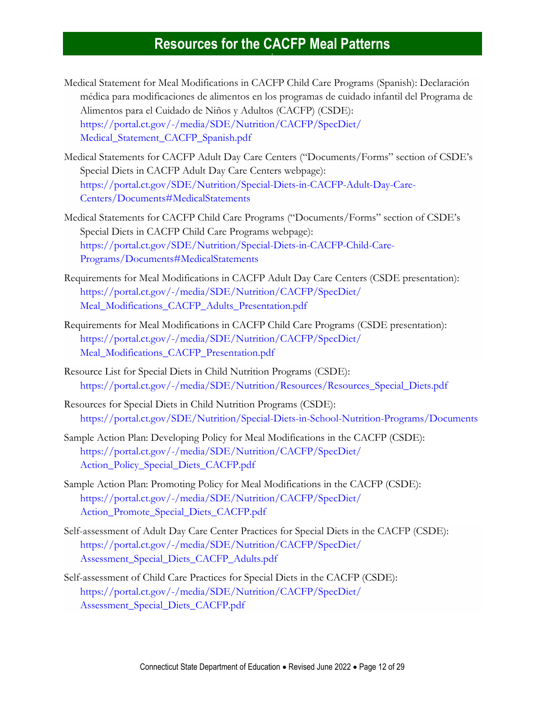- Medical Statement for Meal Modifications in CACFP Child Care Programs (Spanish): Declaración médica para modificaciones de alimentos en los programas de cuidado infantil del Programa de Alimentos para el Cuidado de Niños y Adultos (CACFP) (CSDE): [https://portal.ct.gov/-/media/SDE/Nutrition/CACFP/SpecDiet/](https://portal.ct.gov/-/media/SDE/Nutrition/CACFP/SpecDiet/Medical_Statement_CACFP_Spanish.pdf) [Medical\\_Statement\\_CACFP\\_Spanish.pdf](https://portal.ct.gov/-/media/SDE/Nutrition/CACFP/SpecDiet/Medical_Statement_CACFP_Spanish.pdf)
- Medical Statements for CACFP Adult Day Care Centers ("Documents/Forms" section of CSDE's Special Diets in CACFP Adult Day Care Centers webpage): https://portal.ct.gov/SDE/Nutrition/Special-Diets-in-CACFP-Adult-Day-Care-Centers/Documents#MedicalStatements
- Medical Statements for CACFP Child Care Programs ("Documents/Forms" section of CSDE's Special Diets in CACFP Child Care Programs webpage): https://portal.ct.gov/SDE/Nutrition/Special-Diets-in-CACFP-Child-Care-Programs/Documents#MedicalStatements
- Requirements for Meal Modifications in CACFP Adult Day Care Centers (CSDE presentation): [https://portal.ct.gov/-/media/SDE/Nutrition/CACFP/SpecDiet/](https://portal.ct.gov/-/media/SDE/Nutrition/CACFP/SpecDiet/Meal_Modifications_CACFP_Adults_Presentation.pdf) [Meal\\_Modifications\\_CACFP\\_Adults\\_Presentation.pdf](https://portal.ct.gov/-/media/SDE/Nutrition/CACFP/SpecDiet/Meal_Modifications_CACFP_Adults_Presentation.pdf)
- Requirements for Meal Modifications in CACFP Child Care Programs (CSDE presentation): [https://portal.ct.gov/-/media/SDE/Nutrition/CACFP/SpecDiet/](https://portal.ct.gov/-/media/SDE/Nutrition/CACFP/SpecDiet/‌Meal_Modifications_CACFP_Presentation.pdf) [Meal\\_Modifications\\_CACFP\\_Presentation.pdf](https://portal.ct.gov/-/media/SDE/Nutrition/CACFP/SpecDiet/‌Meal_Modifications_CACFP_Presentation.pdf)
- Resource List for Special Diets in Child Nutrition Programs (CSDE): [https://portal.ct.gov/-/media/SDE/Nutrition/Resources/Resources\\_Special\\_Diets.pdf](https://portal.ct.gov/-/media/SDE/Nutrition/Resources/Resources_Special_Diets.pdf)
- Resources for Special Diets in Child Nutrition Programs (CSDE): <https://portal.ct.gov/SDE/Nutrition/Special-Diets-in-School-Nutrition-Programs/Documents>
- Sample Action Plan: Developing Policy for Meal Modifications in the CACFP (CSDE): [https://portal.ct.gov/-/media/SDE/Nutrition/CACFP/SpecDiet/](https://portal.ct.gov/-/media/SDE/Nutrition/CACFP/SpecDiet/Action_Policy_Special_Diets_CACFP.pdf) [Action\\_Policy\\_Special\\_Diets\\_CACFP.pdf](https://portal.ct.gov/-/media/SDE/Nutrition/CACFP/SpecDiet/Action_Policy_Special_Diets_CACFP.pdf)
- Sample Action Plan: Promoting Policy for Meal Modifications in the CACFP (CSDE): [https://portal.ct.gov/-/media/SDE/Nutrition/CACFP/SpecDiet/](https://portal.ct.gov/-/media/SDE/Nutrition/CACFP/SpecDiet/Action_Promote_Special_Diets_CACFP.pdf) [Action\\_Promote\\_Special\\_Diets\\_CACFP.pdf](https://portal.ct.gov/-/media/SDE/Nutrition/CACFP/SpecDiet/Action_Promote_Special_Diets_CACFP.pdf)
- Self-assessment of Adult Day Care Center Practices for Special Diets in the CACFP (CSDE): [https://portal.ct.gov/-/media/SDE/Nutrition/CACFP/SpecDiet/](https://portal.ct.gov/-/media/SDE/Nutrition/CACFP/SpecDiet/Assessment_Special_Diets_CACFP_Adults.pdf) [Assessment\\_Special\\_Diets\\_CACFP\\_Adults.pdf](https://portal.ct.gov/-/media/SDE/Nutrition/CACFP/SpecDiet/Assessment_Special_Diets_CACFP_Adults.pdf)
- Self-assessment of Child Care Practices for Special Diets in the CACFP (CSDE): [https://portal.ct.gov/-/media/SDE/Nutrition/CACFP/SpecDiet/](https://portal.ct.gov/-/media/SDE/Nutrition/CACFP/SpecDiet/Assessment_Special_Diets_CACFP.pdf) [Assessment\\_Special\\_Diets\\_CACFP.pdf](https://portal.ct.gov/-/media/SDE/Nutrition/CACFP/SpecDiet/Assessment_Special_Diets_CACFP.pdf)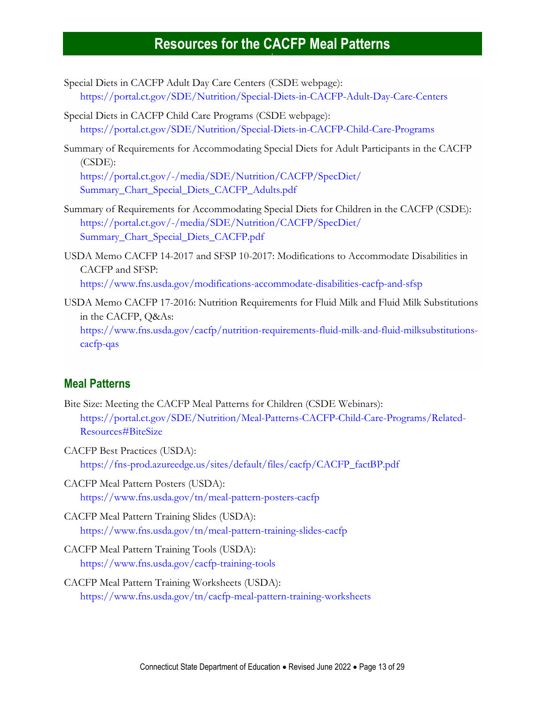- Special Diets in CACFP Adult Day Care Centers (CSDE webpage): <https://portal.ct.gov/SDE/Nutrition/Special-Diets-in-CACFP-Adult-Day-Care-Centers>
- Special Diets in CACFP Child Care Programs (CSDE webpage): <https://portal.ct.gov/SDE/Nutrition/Special-Diets-in-CACFP-Child-Care-Programs>
- Summary of Requirements for Accommodating Special Diets for Adult Participants in the CACFP (CSDE): [https://portal.ct.gov/-/media/SDE/Nutrition/CACFP/SpecDiet/](https://portal.ct.gov/-/media/SDE/Nutrition/CACFP/SpecDiet/Summary_Chart_Special_Diets_CACFP_Adults.pdf) [Summary\\_Chart\\_Special\\_Diets\\_CACFP\\_Adults.pdf](https://portal.ct.gov/-/media/SDE/Nutrition/CACFP/SpecDiet/Summary_Chart_Special_Diets_CACFP_Adults.pdf)
- Summary of Requirements for Accommodating Special Diets for Children in the CACFP (CSDE): [https://portal.ct.gov/-/media/SDE/Nutrition/CACFP/SpecDiet/](https://portal.ct.gov/-/media/SDE/Nutrition/CACFP/SpecDiet/‌Summary_Chart_Special_Diets_CACFP.pdf)

[Summary\\_Chart\\_Special\\_Diets\\_CACFP.pdf](https://portal.ct.gov/-/media/SDE/Nutrition/CACFP/SpecDiet/‌Summary_Chart_Special_Diets_CACFP.pdf)

- USDA Memo CACFP 14-2017 and SFSP 10-2017: Modifications to Accommodate Disabilities in CACFP and SFSP: <https://www.fns.usda.gov/modifications-accommodate-disabilities-cacfp-and-sfsp>
- USDA Memo CACFP 17-2016: Nutrition Requirements for Fluid Milk and Fluid Milk Substitutions in the CACFP, Q&As: [https://www.fns.usda.gov/cacfp/nutrition-requirements-fluid-milk-and-fluid-milksubstitutions](https://www.fns.usda.gov/cacfp/nutrition-requirements-fluid-milk-and-fluid-milksubstitutions-cacfp-qas)[cacfp-qas](https://www.fns.usda.gov/cacfp/nutrition-requirements-fluid-milk-and-fluid-milksubstitutions-cacfp-qas)

#### <span id="page-12-0"></span>**Meal Patterns**

- Bite Size: Meeting the CACFP Meal Patterns for Children (CSDE Webinars): [https://portal.ct.gov/SDE/Nutrition/Meal-Patterns-CACFP-Child-Care-Programs/Related-](https://portal.ct.gov/SDE/Nutrition/Meal-Patterns-CACFP-Child-Care-Programs/Related-Resources#BiteSize)[Resources#BiteSize](https://portal.ct.gov/SDE/Nutrition/Meal-Patterns-CACFP-Child-Care-Programs/Related-Resources#BiteSize)
- CACFP Best Practices (USDA): [https://fns-prod.azureedge.us/sites/default/files/cacfp/CACFP\\_factBP.pdf](https://fns-prod.azureedge.us/sites/default/files/cacfp/CACFP_factBP.pdf)
- CACFP Meal Pattern Posters (USDA): <https://www.fns.usda.gov/tn/meal-pattern-posters-cacfp>
- CACFP Meal Pattern Training Slides (USDA): <https://www.fns.usda.gov/tn/meal-pattern-training-slides-cacfp>
- CACFP Meal Pattern Training Tools (USDA): <https://www.fns.usda.gov/cacfp-training-tools>
- CACFP Meal Pattern Training Worksheets (USDA): <https://www.fns.usda.gov/tn/cacfp-meal-pattern-training-worksheets>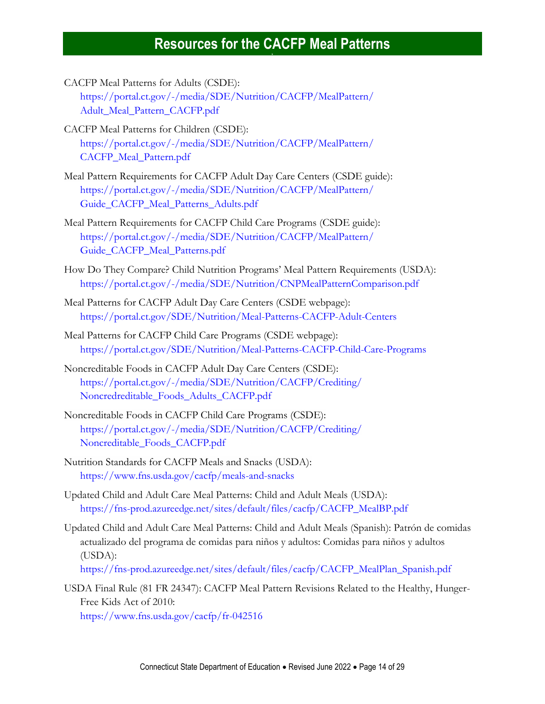- CACFP Meal Patterns for Adults (CSDE): [https://portal.ct.gov/-/media/SDE/Nutrition/CACFP/MealPattern/](https://portal.ct.gov/-/media/SDE/Nutrition/CACFP/MealPattern/‌Adult_Meal_Pattern_CACFP.pdf) [Adult\\_Meal\\_Pattern\\_CACFP.pdf](https://portal.ct.gov/-/media/SDE/Nutrition/CACFP/MealPattern/‌Adult_Meal_Pattern_CACFP.pdf)
- CACFP Meal Patterns for Children (CSDE): [https://portal.ct.gov/-/media/SDE/Nutrition/CACFP/MealPattern/](https://portal.ct.gov/-/media/SDE/Nutrition/CACFP/MealPattern/CACFP_Meal_Pattern.pdf) [CACFP\\_Meal\\_Pattern.pdf](https://portal.ct.gov/-/media/SDE/Nutrition/CACFP/MealPattern/CACFP_Meal_Pattern.pdf)
- Meal Pattern Requirements for CACFP Adult Day Care Centers (CSDE guide): [https://portal.ct.gov/-/media/SDE/Nutrition/CACFP/MealPattern/](https://portal.ct.gov/-/media/SDE/Nutrition/CACFP/MealPattern/‌Guide_CACFP_Meal_Patterns_Adults.pdf) [Guide\\_CACFP\\_Meal\\_Patterns\\_Adults.pdf](https://portal.ct.gov/-/media/SDE/Nutrition/CACFP/MealPattern/‌Guide_CACFP_Meal_Patterns_Adults.pdf)
- Meal Pattern Requirements for CACFP Child Care Programs (CSDE guide): [https://portal.ct.gov/-/media/SDE/Nutrition/CACFP/MealPattern/](https://portal.ct.gov/-/media/SDE/Nutrition/CACFP/MealPattern/GuideCACFPMealPatterns.pdf) [Guide\\_CACFP\\_Meal\\_Patterns.pdf](https://portal.ct.gov/-/media/SDE/Nutrition/CACFP/MealPattern/GuideCACFPMealPatterns.pdf)
- How Do They Compare? Child Nutrition Programs' Meal Pattern Requirements (USDA): <https://portal.ct.gov/-/media/SDE/Nutrition/CNPMealPatternComparison.pdf>
- Meal Patterns for CACFP Adult Day Care Centers (CSDE webpage): [https://portal.ct.gov/SDE/Nutrition/Meal-Patterns-CACFP-Adult-Centers](http://portal.ct.gov/SDE/Nutrition/Meal-Patterns-CACFP-Adult-Centers)
- Meal Patterns for CACFP Child Care Programs (CSDE webpage): [https://portal.ct.gov/SDE/Nutrition/Meal-Patterns-CACFP-Child-Care-Programs](http://portal.ct.gov/SDE/Nutrition/Meal-Patterns-CACFP-Child-Care-Programs)
- Noncreditable Foods in CACFP Adult Day Care Centers (CSDE): [https://portal.ct.gov/-/media/SDE/Nutrition/CACFP/Crediting/](https://portal.ct.gov/-/media/SDE/Nutrition/CACFP/Crediting/Noncredreditable_Foods_Adults_CACFP.pdf) [Noncredreditable\\_Foods\\_Adults\\_CACFP.pdf](https://portal.ct.gov/-/media/SDE/Nutrition/CACFP/Crediting/Noncredreditable_Foods_Adults_CACFP.pdf)
- Noncreditable Foods in CACFP Child Care Programs (CSDE): [https://portal.ct.gov/-/media/SDE/Nutrition/CACFP/Crediting/](https://portal.ct.gov/-/media/SDE/Nutrition/CACFP/Crediting/Noncreditable_Foods_CACFP.pdf) [Noncreditable\\_Foods\\_CACFP.pdf](https://portal.ct.gov/-/media/SDE/Nutrition/CACFP/Crediting/Noncreditable_Foods_CACFP.pdf)
- Nutrition Standards for CACFP Meals and Snacks (USDA): <https://www.fns.usda.gov/cacfp/meals-and-snacks>
- Updated Child and Adult Care Meal Patterns: Child and Adult Meals (USDA): [https://fns-prod.azureedge.net/sites/default/files/cacfp/CACFP\\_MealBP.pdf](https://fns-prod.azureedge.net/sites/default/files/cacfp/CACFP_MealBP.pdf)
- Updated Child and Adult Care Meal Patterns: Child and Adult Meals (Spanish): Patrón de comidas actualizado del programa de comidas para niños y adultos: Comidas para niños y adultos (USDA):

[https://fns-prod.azureedge.net/sites/default/files/cacfp/CACFP\\_MealPlan\\_Spanish.pdf](https://fns-prod.azureedge.net/sites/default/files/cacfp/CACFP_MealPlan_Spanish.pdf)

USDA Final Rule (81 FR 24347): CACFP Meal Pattern Revisions Related to the Healthy, Hunger-Free Kids Act of 2010:

<https://www.fns.usda.gov/cacfp/fr-042516>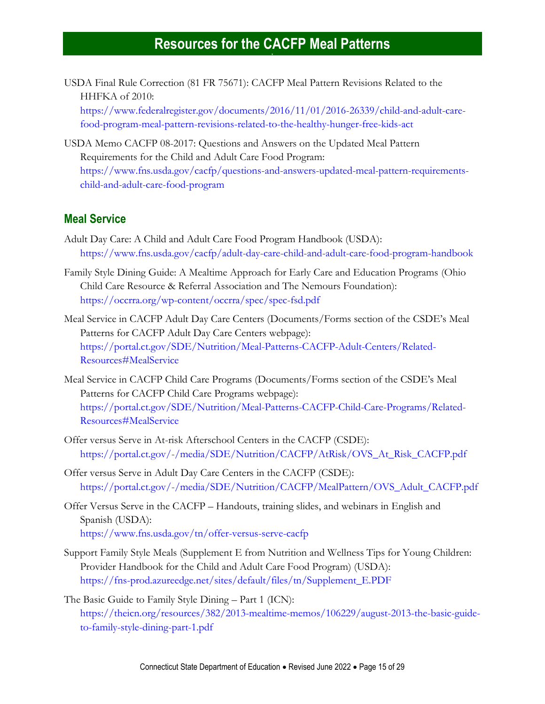USDA Final Rule Correction (81 FR 75671): CACFP Meal Pattern Revisions Related to the HHFKA of 2010:

[https://www.federalregister.gov/documents/2016/11/01/2016-26339/child-and-adult-care](https://www.federalregister.gov/documents/2016/11/01/2016-26339/child-and-adult-care-food-program-meal-pattern-revisions-related-to-the-healthy-hunger-free-kids-act)[food-program-meal-pattern-revisions-related-to-the-healthy-hunger-free-kids-act](https://www.federalregister.gov/documents/2016/11/01/2016-26339/child-and-adult-care-food-program-meal-pattern-revisions-related-to-the-healthy-hunger-free-kids-act)

USDA Memo CACFP 08-2017: Questions and Answers on the Updated Meal Pattern Requirements for the Child and Adult Care Food Program: [https://www.fns.usda.gov/cacfp/questions-and-answers-updated-meal-pattern-requirements](https://www.fns.usda.gov/cacfp/questions-and-answers-updated-meal-pattern-requirements-child-and-adult-care-food-program)[child-and-adult-care-food-program](https://www.fns.usda.gov/cacfp/questions-and-answers-updated-meal-pattern-requirements-child-and-adult-care-food-program)

#### <span id="page-14-0"></span>**Meal Service**

- Adult Day Care: A Child and Adult Care Food Program Handbook (USDA): <https://www.fns.usda.gov/cacfp/adult-day-care-child-and-adult-care-food-program-handbook>
- Family Style Dining Guide: A Mealtime Approach for Early Care and Education Programs (Ohio Child Care Resource & Referral Association and The Nemours Foundation): <https://occrra.org/wp-content/occrra/spec/spec-fsd.pdf>
- Meal Service in CACFP Adult Day Care Centers (Documents/Forms section of the CSDE's Meal Patterns for CACFP Adult Day Care Centers webpage): [https://portal.ct.gov/SDE/Nutrition/Meal-Patterns-CACFP-Adult-Centers/Related-](https://portal.ct.gov/SDE/Nutrition/Meal-Patterns-CACFP-Adult-Centers/Related-Resources#MealService)[Resources#MealService](https://portal.ct.gov/SDE/Nutrition/Meal-Patterns-CACFP-Adult-Centers/Related-Resources#MealService)
- Meal Service in CACFP Child Care Programs (Documents/Forms section of the CSDE's Meal Patterns for CACFP Child Care Programs webpage): [https://portal.ct.gov/SDE/Nutrition/Meal-Patterns-CACFP-Child-Care-Programs/Related-](https://portal.ct.gov/SDE/Nutrition/Meal-Patterns-CACFP-Child-Care-Programs/Related-Resources#MealService)[Resources#MealService](https://portal.ct.gov/SDE/Nutrition/Meal-Patterns-CACFP-Child-Care-Programs/Related-Resources#MealService)
- Offer versus Serve in At-risk Afterschool Centers in the CACFP (CSDE): [https://portal.ct.gov/-/media/SDE/Nutrition/CACFP/AtRisk/OVS\\_At\\_Risk\\_CACFP.pdf](https://portal.ct.gov/-/media/SDE/Nutrition/CACFP/AtRisk/OVS_At_Risk_CACFP.pdf)
- Offer versus Serve in Adult Day Care Centers in the CACFP (CSDE): [https://portal.ct.gov/-/media/SDE/Nutrition/CACFP/MealPattern/OVS\\_Adult\\_CACFP.pdf](https://portal.ct.gov/-/media/SDE/Nutrition/CACFP/MealPattern/OVS_Adult_CACFP.pdf)
- Offer Versus Serve in the CACFP Handouts, training slides, and webinars in English and Spanish (USDA): <https://www.fns.usda.gov/tn/offer-versus-serve-cacfp>
- Support Family Style Meals (Supplement E from Nutrition and Wellness Tips for Young Children: Provider Handbook for the Child and Adult Care Food Program) (USDA): [https://fns-prod.azureedge.net/sites/default/files/tn/Supplement\\_E.PDF](https://fns-prod.azureedge.net/sites/default/files/tn/Supplement_E.PDF)
- The Basic Guide to Family Style Dining Part 1 (ICN): [https://theicn.org/resources/382/2013-mealtime-memos/106229/august-2013-the-basic-guide](https://theicn.org/resources/382/2013-mealtime-memos/106229/august-2013-the-basic-guide-to-family-style-dining-part-1.pdf)[to-family-style-dining-part-1.pdf](https://theicn.org/resources/382/2013-mealtime-memos/106229/august-2013-the-basic-guide-to-family-style-dining-part-1.pdf)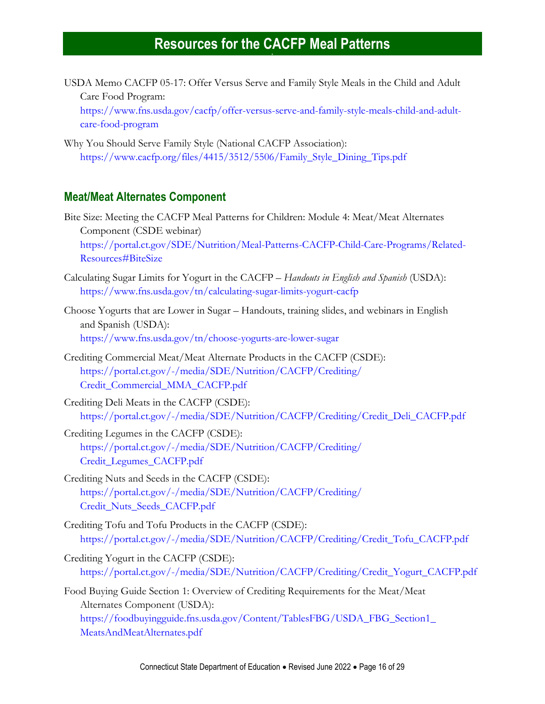USDA Memo CACFP 05-17: Offer Versus Serve and Family Style Meals in the Child and Adult Care Food Program:

[https://www.fns.usda.gov/cacfp/offer-versus-serve-and-family-style-meals-child-and-adult](https://www.fns.usda.gov/cacfp/offer-versus-serve-and-family-style-meals-child-and-adult-care-food-program)[care-food-program](https://www.fns.usda.gov/cacfp/offer-versus-serve-and-family-style-meals-child-and-adult-care-food-program)

Why You Should Serve Family Style (National CACFP Association): [https://www.cacfp.org/files/4415/3512/5506/Family\\_Style\\_Dining\\_Tips.pdf](https://www.cacfp.org/files/4415/3512/5506/Family_Style_Dining_Tips.pdf)

#### <span id="page-15-0"></span>**Meat/Meat Alternates Component**

Bite Size: Meeting the CACFP Meal Patterns for Children: Module 4: Meat/Meat Alternates Component (CSDE webinar) [https://portal.ct.gov/SDE/Nutrition/Meal-Patterns-CACFP-Child-Care-Programs/Related-](https://portal.ct.gov/SDE/Nutrition/Meal-Patterns-CACFP-Child-Care-Programs/Related-Resources#BiteSize)[Resources#BiteSize](https://portal.ct.gov/SDE/Nutrition/Meal-Patterns-CACFP-Child-Care-Programs/Related-Resources#BiteSize)

- Calculating Sugar Limits for Yogurt in the CACFP *Handouts in English and Spanish* (USDA): <https://www.fns.usda.gov/tn/calculating-sugar-limits-yogurt-cacfp>
- Choose Yogurts that are Lower in Sugar Handouts, training slides, and webinars in English and Spanish (USDA): <https://www.fns.usda.gov/tn/choose-yogurts-are-lower-sugar>
- Crediting Commercial Meat/Meat Alternate Products in the CACFP (CSDE): [https://portal.ct.gov/-/media/SDE/Nutrition/CACFP/Crediting/](https://portal.ct.gov/-/media/SDE/Nutrition/CACFP/Crediting/Credit_Commercial_MMA_CACFP.pdf) [Credit\\_Commercial\\_MMA\\_CACFP.pdf](https://portal.ct.gov/-/media/SDE/Nutrition/CACFP/Crediting/Credit_Commercial_MMA_CACFP.pdf)

Crediting Deli Meats in the CACFP (CSDE): [https://portal.ct.gov/-/media/SDE/Nutrition/CACFP/Crediting/Credit\\_Deli\\_CACFP.pdf](https://portal.ct.gov/-/media/SDE/Nutrition/CACFP/Crediting/Credit_Deli_CACFP.pdf)

- Crediting Legumes in the CACFP (CSDE): [https://portal.ct.gov/-/media/SDE/Nutrition/CACFP/Crediting/](https://portal.ct.gov/-/media/SDE/Nutrition/CACFP/Crediting/‌Credit_Legumes_CACFP.pdf) [Credit\\_Legumes\\_CACFP.pdf](https://portal.ct.gov/-/media/SDE/Nutrition/CACFP/Crediting/‌Credit_Legumes_CACFP.pdf)
- Crediting Nuts and Seeds in the CACFP (CSDE): [https://portal.ct.gov/-/media/SDE/Nutrition/CACFP/Crediting/](https://portal.ct.gov/-/media/SDE/Nutrition/CACFP/Crediting/Credit_Nuts_Seeds_CACFP.pdf) [Credit\\_Nuts\\_Seeds\\_CACFP.pdf](https://portal.ct.gov/-/media/SDE/Nutrition/CACFP/Crediting/Credit_Nuts_Seeds_CACFP.pdf)
- Crediting Tofu and Tofu Products in the CACFP (CSDE): [https://portal.ct.gov/-/media/SDE/Nutrition/CACFP/Crediting/Credit\\_Tofu\\_CACFP.pdf](https://portal.ct.gov/-/media/SDE/Nutrition/CACFP/Crediting/Credit_Tofu_CACFP.pdf)
- Crediting Yogurt in the CACFP (CSDE): [https://portal.ct.gov/-/media/SDE/Nutrition/CACFP/Crediting/Credit\\_Yogurt\\_CACFP.pdf](https://portal.ct.gov/-/media/SDE/Nutrition/CACFP/Crediting/Credit_Yogurt_CACFP.pdf)
- Food Buying Guide Section 1: Overview of Crediting Requirements for the Meat/Meat Alternates Component (USDA): [https://foodbuyingguide.fns.usda.gov/Content/TablesFBG/USDA\\_FBG\\_Section1\\_](https://foodbuyingguide.fns.usda.gov/Content/TablesFBG/USDA_FBG_Section1_MeatsAndMeatAlternates.pdf) [MeatsAndMeatAlternates.pdf](https://foodbuyingguide.fns.usda.gov/Content/TablesFBG/USDA_FBG_Section1_MeatsAndMeatAlternates.pdf)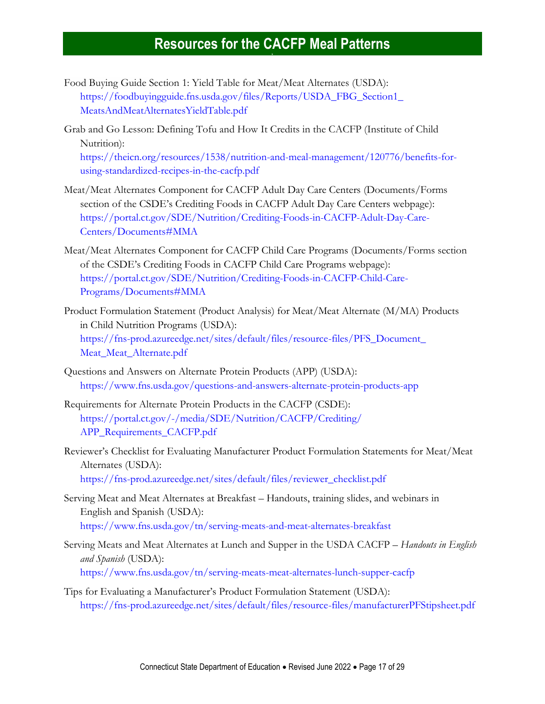- Food Buying Guide Section 1: Yield Table for Meat/Meat Alternates (USDA): [https://foodbuyingguide.fns.usda.gov/files/Reports/USDA\\_FBG\\_Section1\\_](https://foodbuyingguide.fns.usda.gov/files/Reports/USDA_FBG_Section1_MeatsAndMeatAlternatesYieldTable.pdf) [MeatsAndMeatAlternatesYieldTable.pdf](https://foodbuyingguide.fns.usda.gov/files/Reports/USDA_FBG_Section1_MeatsAndMeatAlternatesYieldTable.pdf)
- Grab and Go Lesson: Defining Tofu and How It Credits in the CACFP (Institute of Child Nutrition): [https://theicn.org/resources/1538/nutrition-and-meal-management/120776/benefits-for-](https://theicn.org/resources/1538/nutrition-and-meal-management/120776/benefits-for-using-standardized-recipes-in-the-cacfp.pdf)

[using-standardized-recipes-in-the-cacfp.pdf](https://theicn.org/resources/1538/nutrition-and-meal-management/120776/benefits-for-using-standardized-recipes-in-the-cacfp.pdf)

- Meat/Meat Alternates Component for CACFP Adult Day Care Centers (Documents/Forms section of the CSDE's Crediting Foods in CACFP Adult Day Care Centers webpage): [https://portal.ct.gov/SDE/Nutrition/Crediting-Foods-in-CACFP-Adult-Day-Care-](https://portal.ct.gov/SDE/Nutrition/Crediting-Foods-in-CACFP-Adult-Day-Care-Centers/Documents#MMA)[Centers/Documents#MMA](https://portal.ct.gov/SDE/Nutrition/Crediting-Foods-in-CACFP-Adult-Day-Care-Centers/Documents#MMA)
- Meat/Meat Alternates Component for CACFP Child Care Programs (Documents/Forms section of the CSDE's Crediting Foods in CACFP Child Care Programs webpage): [https://portal.ct.gov/SDE/Nutrition/Crediting-Foods-in-CACFP-Child-Care-](https://portal.ct.gov/SDE/Nutrition/Crediting-Foods-in-CACFP-Child-Care-Programs/Documents#MMA)[Programs/Documents#MMA](https://portal.ct.gov/SDE/Nutrition/Crediting-Foods-in-CACFP-Child-Care-Programs/Documents#MMA)
- Product Formulation Statement (Product Analysis) for Meat/Meat Alternate (M/MA) Products in Child Nutrition Programs (USDA): [https://fns-prod.azureedge.net/sites/default/files/resource-files/PFS\\_Document\\_](https://fns-prod.azureedge.net/sites/default/files/resource-files/PFS_Document_Meat_Meat_Alternate.pdf) [Meat\\_Meat\\_Alternate.pdf](https://fns-prod.azureedge.net/sites/default/files/resource-files/PFS_Document_Meat_Meat_Alternate.pdf)
- Questions and Answers on Alternate Protein Products (APP) (USDA): <https://www.fns.usda.gov/questions-and-answers-alternate-protein-products-app>
- Requirements for Alternate Protein Products in the CACFP (CSDE): [https://portal.ct.gov/-/media/SDE/Nutrition/CACFP/Crediting/](https://portal.ct.gov/-/media/SDE/Nutrition/CACFP/Crediting/APP_Requirements_CACFP.pdf) [APP\\_Requirements\\_CACFP.pdf](https://portal.ct.gov/-/media/SDE/Nutrition/CACFP/Crediting/APP_Requirements_CACFP.pdf)
- Reviewer's Checklist for Evaluating Manufacturer Product Formulation Statements for Meat/Meat Alternates (USDA): [https://fns-prod.azureedge.net/sites/default/files/reviewer\\_checklist.pdf](https://fns-prod.azureedge.net/sites/default/files/reviewer_checklist.pdf)
- Serving Meat and Meat Alternates at Breakfast Handouts, training slides, and webinars in English and Spanish (USDA): <https://www.fns.usda.gov/tn/serving-meats-and-meat-alternates-breakfast>
- Serving Meats and Meat Alternates at Lunch and Supper in the USDA CACFP *Handouts in English and Spanish* (USDA): <https://www.fns.usda.gov/tn/serving-meats-meat-alternates-lunch-supper-cacfp>
- Tips for Evaluating a Manufacturer's Product Formulation Statement (USDA): <https://fns-prod.azureedge.net/sites/default/files/resource-files/manufacturerPFStipsheet.pdf>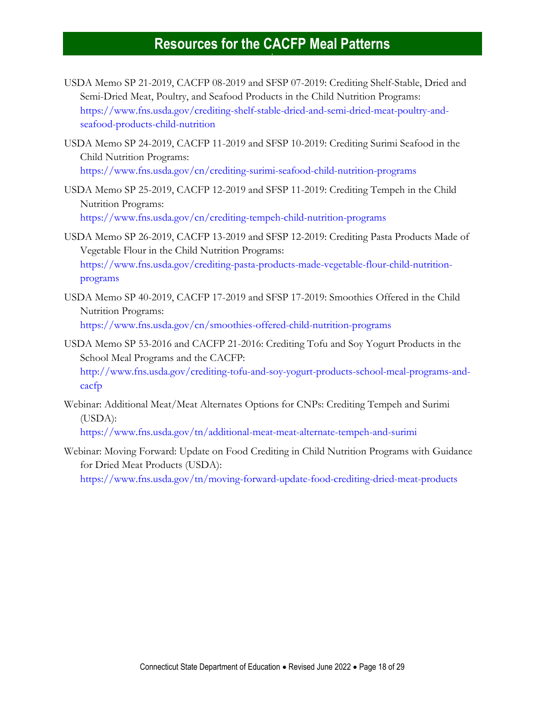- USDA Memo SP 21-2019, CACFP 08-2019 and SFSP 07-2019: Crediting Shelf-Stable, Dried and Semi-Dried Meat, Poultry, and Seafood Products in the Child Nutrition Programs: [https://www.fns.usda.gov/crediting-shelf-stable-dried-and-semi-dried-meat-poultry-and](https://www.fns.usda.gov/crediting-shelf-stable-dried-and-semi-dried-meat-poultry-and-seafood-products-child-nutrition)[seafood-products-child-nutrition](https://www.fns.usda.gov/crediting-shelf-stable-dried-and-semi-dried-meat-poultry-and-seafood-products-child-nutrition)
- USDA Memo SP 24-2019, CACFP 11-2019 and SFSP 10-2019: Crediting Surimi Seafood in the Child Nutrition Programs: <https://www.fns.usda.gov/cn/crediting-surimi-seafood-child-nutrition-programs>
- USDA Memo SP 25-2019, CACFP 12-2019 and SFSP 11-2019: Crediting Tempeh in the Child Nutrition Programs: <https://www.fns.usda.gov/cn/crediting-tempeh-child-nutrition-programs>
- USDA Memo SP 26-2019, CACFP 13-2019 and SFSP 12-2019: Crediting Pasta Products Made of Vegetable Flour in the Child Nutrition Programs: [https://www.fns.usda.gov/crediting-pasta-products-made-vegetable-flour-child-nutrition](https://www.fns.usda.gov/crediting-pasta-products-made-vegetable-flour-child-nutrition-programs)[programs](https://www.fns.usda.gov/crediting-pasta-products-made-vegetable-flour-child-nutrition-programs)
- USDA Memo SP 40-2019, CACFP 17-2019 and SFSP 17-2019: Smoothies Offered in the Child Nutrition Programs: <https://www.fns.usda.gov/cn/smoothies-offered-child-nutrition-programs>
- USDA Memo SP 53-2016 and CACFP 21-2016: Crediting Tofu and Soy Yogurt Products in the School Meal Programs and the CACFP: [http://www.fns.usda.gov/crediting-tofu-and-soy-yogurt-products-school-meal-programs-and](http://www.fns.usda.gov/crediting-tofu-and-soy-yogurt-products-school-meal-programs-and-cacfp)[cacfp](http://www.fns.usda.gov/crediting-tofu-and-soy-yogurt-products-school-meal-programs-and-cacfp)
- Webinar: Additional Meat/Meat Alternates Options for CNPs: Crediting Tempeh and Surimi (USDA):

<https://www.fns.usda.gov/tn/additional-meat-meat-alternate-tempeh-and-surimi>

Webinar: Moving Forward: Update on Food Crediting in Child Nutrition Programs with Guidance for Dried Meat Products (USDA):

<span id="page-17-0"></span><https://www.fns.usda.gov/tn/moving-forward-update-food-crediting-dried-meat-products>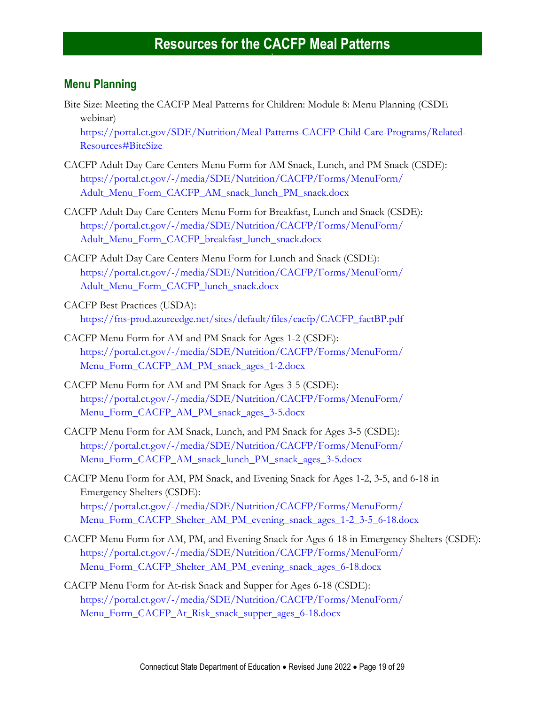#### <span id="page-18-0"></span>**Menu Planning**

<span id="page-18-1"></span>Bite Size: Meeting the CACFP Meal Patterns for Children: Module 8: Menu Planning (CSDE webinar)

[https://portal.ct.gov/SDE/Nutrition/Meal-Patterns-CACFP-Child-Care-Programs/Related-](https://portal.ct.gov/SDE/Nutrition/Meal-Patterns-CACFP-Child-Care-Programs/Related-Resources#BiteSize)[Resources#BiteSize](https://portal.ct.gov/SDE/Nutrition/Meal-Patterns-CACFP-Child-Care-Programs/Related-Resources#BiteSize)

- CACFP Adult Day Care Centers Menu Form for AM Snack, Lunch, and PM Snack (CSDE): [https://portal.ct.gov/-/media/SDE/Nutrition/CACFP/Forms/MenuForm/](https://portal.ct.gov/-/media/SDE/Nutrition/CACFP/Forms/MenuForm/Adult_Menu_Form_CACFP_AM_snack_lunch_PM_snack.docx) [Adult\\_Menu\\_Form\\_CACFP\\_AM\\_snack\\_lunch\\_PM\\_snack.docx](https://portal.ct.gov/-/media/SDE/Nutrition/CACFP/Forms/MenuForm/Adult_Menu_Form_CACFP_AM_snack_lunch_PM_snack.docx)
- CACFP Adult Day Care Centers Menu Form for Breakfast, Lunch and Snack (CSDE): [https://portal.ct.gov/-/media/SDE/Nutrition/CACFP/Forms/MenuForm/](https://portal.ct.gov/-/media/SDE/Nutrition/CACFP/Forms/MenuForm/Adult_Menu_Form_CACFP_breakfast_lunch_snack.docx) [Adult\\_Menu\\_Form\\_CACFP\\_breakfast\\_lunch\\_snack.docx](https://portal.ct.gov/-/media/SDE/Nutrition/CACFP/Forms/MenuForm/Adult_Menu_Form_CACFP_breakfast_lunch_snack.docx)
- CACFP Adult Day Care Centers Menu Form for Lunch and Snack (CSDE): [https://portal.ct.gov/-/media/SDE/Nutrition/CACFP/Forms/MenuForm/](https://portal.ct.gov/-/media/SDE/Nutrition/CACFP/Forms/MenuForm/Adult_Menu_Form_CACFP_lunch_snack.docx) [Adult\\_Menu\\_Form\\_CACFP\\_lunch\\_snack.docx](https://portal.ct.gov/-/media/SDE/Nutrition/CACFP/Forms/MenuForm/Adult_Menu_Form_CACFP_lunch_snack.docx)
- CACFP Best Practices (USDA): [https://fns-prod.azureedge.net/sites/default/files/cacfp/CACFP\\_factBP.pdf](https://fns-prod.azureedge.net/sites/default/files/cacfp/CACFP_factBP.pdf)
- CACFP Menu Form for AM and PM Snack for Ages 1-2 (CSDE): [https://portal.ct.gov/-/media/SDE/Nutrition/CACFP/Forms/MenuForm/](https://portal.ct.gov/-/media/SDE/Nutrition/CACFP/Forms/MenuForm/Menu_Form_CACFP_AM_PM_snack_ages_1-2.docx) [Menu\\_Form\\_CACFP\\_AM\\_PM\\_snack\\_ages\\_1-2.docx](https://portal.ct.gov/-/media/SDE/Nutrition/CACFP/Forms/MenuForm/Menu_Form_CACFP_AM_PM_snack_ages_1-2.docx)
- CACFP Menu Form for AM and PM Snack for Ages 3-5 (CSDE): [https://portal.ct.gov/-/media/SDE/Nutrition/CACFP/Forms/MenuForm/](https://portal.ct.gov/-/media/SDE/Nutrition/CACFP/Forms/MenuForm/Menu_Form_CACFP_AM_PM_snack_ages_3-5.docx) [Menu\\_Form\\_CACFP\\_AM\\_PM\\_snack\\_ages\\_3-5.docx](https://portal.ct.gov/-/media/SDE/Nutrition/CACFP/Forms/MenuForm/Menu_Form_CACFP_AM_PM_snack_ages_3-5.docx)
- CACFP Menu Form for AM Snack, Lunch, and PM Snack for Ages 3-5 (CSDE): [https://portal.ct.gov/-/media/SDE/Nutrition/CACFP/Forms/MenuForm/](https://portal.ct.gov/-/media/SDE/Nutrition/CACFP/Forms/MenuForm/Menu_Form_CACFP_AM_snack_lunch_PM_snack_ages_3-5.docx) [Menu\\_Form\\_CACFP\\_AM\\_snack\\_lunch\\_PM\\_snack\\_ages\\_3-5.docx](https://portal.ct.gov/-/media/SDE/Nutrition/CACFP/Forms/MenuForm/Menu_Form_CACFP_AM_snack_lunch_PM_snack_ages_3-5.docx)
- CACFP Menu Form for AM, PM Snack, and Evening Snack for Ages 1-2, 3-5, and 6-18 in Emergency Shelters (CSDE): [https://portal.ct.gov/-/media/SDE/Nutrition/CACFP/Forms/MenuForm/](https://portal.ct.gov/-/media/SDE/Nutrition/CACFP/Forms/MenuForm/Menu_Form_CACFP_Shelter_AM_PM_evening_snack_ages_1-2_3-5_6-18.docx) [Menu\\_Form\\_CACFP\\_Shelter\\_AM\\_PM\\_evening\\_snack\\_ages\\_1-2\\_3-5\\_6-18.docx](https://portal.ct.gov/-/media/SDE/Nutrition/CACFP/Forms/MenuForm/Menu_Form_CACFP_Shelter_AM_PM_evening_snack_ages_1-2_3-5_6-18.docx)
- CACFP Menu Form for AM, PM, and Evening Snack for Ages 6-18 in Emergency Shelters (CSDE): [https://portal.ct.gov/-/media/SDE/Nutrition/CACFP/Forms/MenuForm/](https://portal.ct.gov/-/media/SDE/Nutrition/CACFP/Forms/MenuForm/Menu_Form_CACFP_Shelter_AM_PM_evening_snack_ages_6-18.docx) [Menu\\_Form\\_CACFP\\_Shelter\\_AM\\_PM\\_evening\\_snack\\_ages\\_6-18.docx](https://portal.ct.gov/-/media/SDE/Nutrition/CACFP/Forms/MenuForm/Menu_Form_CACFP_Shelter_AM_PM_evening_snack_ages_6-18.docx)
- CACFP Menu Form for At-risk Snack and Supper for Ages 6-18 (CSDE): [https://portal.ct.gov/-/media/SDE/Nutrition/CACFP/Forms/MenuForm/](https://portal.ct.gov/-/media/SDE/Nutrition/CACFP/Forms/MenuForm/Menu_Form_CACFP_At_Risk_snack_supper_ages_6-18.docx) [Menu\\_Form\\_CACFP\\_At\\_Risk\\_snack\\_supper\\_ages\\_6-18.docx](https://portal.ct.gov/-/media/SDE/Nutrition/CACFP/Forms/MenuForm/Menu_Form_CACFP_At_Risk_snack_supper_ages_6-18.docx)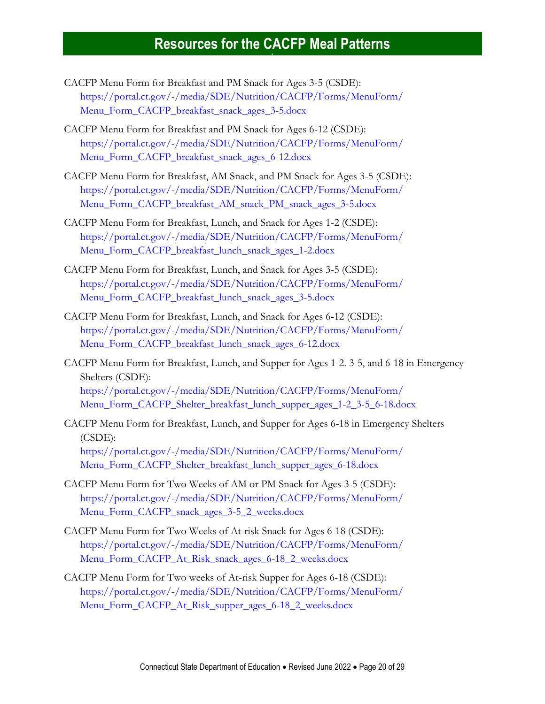- CACFP Menu Form for Breakfast and PM Snack for Ages 3-5 (CSDE): [https://portal.ct.gov/-/media/SDE/Nutrition/CACFP/Forms/MenuForm/](https://portal.ct.gov/-/media/SDE/Nutrition/CACFP/Forms/MenuForm/Menu_Form_CACFP_breakfast_snack_ages_3-5.docx) [Menu\\_Form\\_CACFP\\_breakfast\\_snack\\_ages\\_3-5.docx](https://portal.ct.gov/-/media/SDE/Nutrition/CACFP/Forms/MenuForm/Menu_Form_CACFP_breakfast_snack_ages_3-5.docx)
- CACFP Menu Form for Breakfast and PM Snack for Ages 6-12 (CSDE): [https://portal.ct.gov/-/media/SDE/Nutrition/CACFP/Forms/MenuForm/](https://portal.ct.gov/-/media/SDE/Nutrition/CACFP/Forms/MenuForm/Menu_Form_CACFP_breakfast_snack_ages_6-12.docx) [Menu\\_Form\\_CACFP\\_breakfast\\_snack\\_ages\\_6-12.docx](https://portal.ct.gov/-/media/SDE/Nutrition/CACFP/Forms/MenuForm/Menu_Form_CACFP_breakfast_snack_ages_6-12.docx)
- CACFP Menu Form for Breakfast, AM Snack, and PM Snack for Ages 3-5 (CSDE): [https://portal.ct.gov/-/media/SDE/Nutrition/CACFP/Forms/MenuForm/](https://portal.ct.gov/-/media/SDE/Nutrition/CACFP/Forms/MenuForm/Menu_Form_CACFP_breakfast_AM_snack_PM_snack_ages_3-5.docx) [Menu\\_Form\\_CACFP\\_breakfast\\_AM\\_snack\\_PM\\_snack\\_ages\\_3-5.docx](https://portal.ct.gov/-/media/SDE/Nutrition/CACFP/Forms/MenuForm/Menu_Form_CACFP_breakfast_AM_snack_PM_snack_ages_3-5.docx)
- CACFP Menu Form for Breakfast, Lunch, and Snack for Ages 1-2 (CSDE): [https://portal.ct.gov/-/media/SDE/Nutrition/CACFP/Forms/MenuForm/](https://portal.ct.gov/-/media/SDE/Nutrition/CACFP/Forms/MenuForm/Menu_Form_CACFP_breakfast_lunch_snack_ages_1-2.docx) [Menu\\_Form\\_CACFP\\_breakfast\\_lunch\\_snack\\_ages\\_1-2.docx](https://portal.ct.gov/-/media/SDE/Nutrition/CACFP/Forms/MenuForm/Menu_Form_CACFP_breakfast_lunch_snack_ages_1-2.docx)
- CACFP Menu Form for Breakfast, Lunch, and Snack for Ages 3-5 (CSDE): [https://portal.ct.gov/-/media/SDE/Nutrition/CACFP/Forms/MenuForm/](https://portal.ct.gov/-/media/SDE/Nutrition/CACFP/Forms/MenuForm/Menu_Form_CACFP_breakfast_lunch_snack_ages_3-5.docx) [Menu\\_Form\\_CACFP\\_breakfast\\_lunch\\_snack\\_ages\\_3-5.docx](https://portal.ct.gov/-/media/SDE/Nutrition/CACFP/Forms/MenuForm/Menu_Form_CACFP_breakfast_lunch_snack_ages_3-5.docx)
- CACFP Menu Form for Breakfast, Lunch, and Snack for Ages 6-12 (CSDE): [https://portal.ct.gov/-/media/SDE/Nutrition/CACFP/Forms/MenuForm/](https://portal.ct.gov/-/media/SDE/Nutrition/CACFP/Forms/MenuForm/Menu_Form_CACFP_breakfast_lunch_snack_ages_6-12.docx) [Menu\\_Form\\_CACFP\\_breakfast\\_lunch\\_snack\\_ages\\_6-12.docx](https://portal.ct.gov/-/media/SDE/Nutrition/CACFP/Forms/MenuForm/Menu_Form_CACFP_breakfast_lunch_snack_ages_6-12.docx)
- CACFP Menu Form for Breakfast, Lunch, and Supper for Ages 1-2. 3-5, and 6-18 in Emergency Shelters (CSDE): [https://portal.ct.gov/-/media/SDE/Nutrition/CACFP/Forms/MenuForm/](https://portal.ct.gov/-/media/SDE/Nutrition/CACFP/Forms/MenuForm/Menu_Form_CACFP_Shelter_breakfast_lunch_supper_ages_1-2_3-5_6-18.docx) [Menu\\_Form\\_CACFP\\_Shelter\\_breakfast\\_lunch\\_supper\\_ages\\_1-2\\_3-5\\_6-18.docx](https://portal.ct.gov/-/media/SDE/Nutrition/CACFP/Forms/MenuForm/Menu_Form_CACFP_Shelter_breakfast_lunch_supper_ages_1-2_3-5_6-18.docx)
- CACFP Menu Form for Breakfast, Lunch, and Supper for Ages 6-18 in Emergency Shelters (CSDE): [https://portal.ct.gov/-/media/SDE/Nutrition/CACFP/Forms/MenuForm/](https://portal.ct.gov/-/media/SDE/Nutrition/CACFP/Forms/MenuForm/Menu_Form_CACFP_Shelter_breakfast_lunch_supper_ages_6-18.docx) [Menu\\_Form\\_CACFP\\_Shelter\\_breakfast\\_lunch\\_supper\\_ages\\_6-18.docx](https://portal.ct.gov/-/media/SDE/Nutrition/CACFP/Forms/MenuForm/Menu_Form_CACFP_Shelter_breakfast_lunch_supper_ages_6-18.docx)
- CACFP Menu Form for Two Weeks of AM or PM Snack for Ages 3-5 (CSDE): [https://portal.ct.gov/-/media/SDE/Nutrition/CACFP/Forms/MenuForm/](https://portal.ct.gov/-/media/SDE/Nutrition/CACFP/Forms/MenuForm/Menu_Form_CACFP_snack_ages_3-5_2_weeks.docx) [Menu\\_Form\\_CACFP\\_snack\\_ages\\_3-5\\_2\\_weeks.docx](https://portal.ct.gov/-/media/SDE/Nutrition/CACFP/Forms/MenuForm/Menu_Form_CACFP_snack_ages_3-5_2_weeks.docx)
- CACFP Menu Form for Two Weeks of At-risk Snack for Ages 6-18 (CSDE): [https://portal.ct.gov/-/media/SDE/Nutrition/CACFP/Forms/MenuForm/](https://portal.ct.gov/-/media/SDE/Nutrition/CACFP/Forms/MenuForm/Menu_Form_CACFP_At_Risk_snack_ages_6-18_2_weeks.docx) [Menu\\_Form\\_CACFP\\_At\\_Risk\\_snack\\_ages\\_6-18\\_2\\_weeks.docx](https://portal.ct.gov/-/media/SDE/Nutrition/CACFP/Forms/MenuForm/Menu_Form_CACFP_At_Risk_snack_ages_6-18_2_weeks.docx)
- CACFP Menu Form for Two weeks of At-risk Supper for Ages 6-18 (CSDE): [https://portal.ct.gov/-/media/SDE/Nutrition/CACFP/Forms/MenuForm/](https://portal.ct.gov/-/media/SDE/Nutrition/CACFP/Forms/MenuForm/Menu_Form_CACFP_At_Risk_supper_ages_6-18_2_weeks.docx) [Menu\\_Form\\_CACFP\\_At\\_Risk\\_supper\\_ages\\_6-18\\_2\\_weeks.docx](https://portal.ct.gov/-/media/SDE/Nutrition/CACFP/Forms/MenuForm/Menu_Form_CACFP_At_Risk_supper_ages_6-18_2_weeks.docx)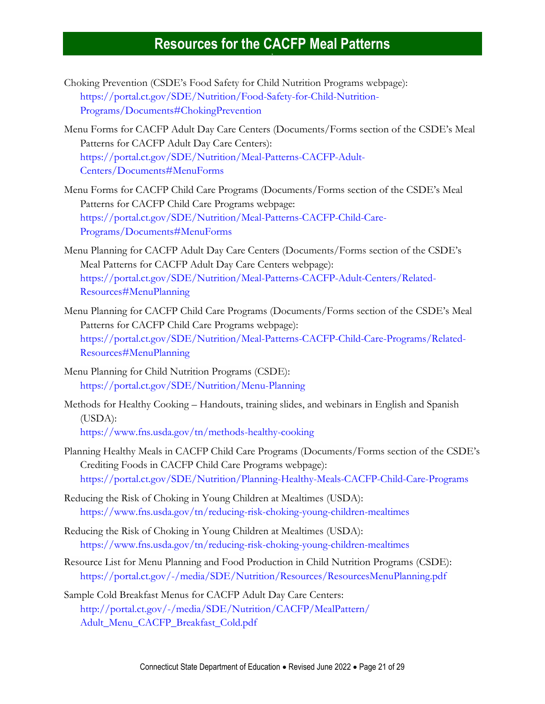- Choking Prevention (CSDE's Food Safety for Child Nutrition Programs webpage): [https://portal.ct.gov/SDE/Nutrition/Food-Safety-for-Child-Nutrition-](https://portal.ct.gov/SDE/Nutrition/Food-Safety-for-Child-Nutrition-Programs/Documents#ChokingPrevention)[Programs/Documents#ChokingPrevention](https://portal.ct.gov/SDE/Nutrition/Food-Safety-for-Child-Nutrition-Programs/Documents#ChokingPrevention)
- Menu Forms for CACFP Adult Day Care Centers (Documents/Forms section of the CSDE's Meal Patterns for CACFP Adult Day Care Centers): [https://portal.ct.gov/SDE/Nutrition/Meal-Patterns-CACFP-Adult-](https://portal.ct.gov/SDE/Nutrition/Meal-Patterns-CACFP-Adult-Centers/Documents#MenuForms)[Centers/Documents#MenuForms](https://portal.ct.gov/SDE/Nutrition/Meal-Patterns-CACFP-Adult-Centers/Documents#MenuForms)
- Menu Forms for CACFP Child Care Programs (Documents/Forms section of the CSDE's Meal Patterns for CACFP Child Care Programs webpage: [https://portal.ct.gov/SDE/Nutrition/Meal-Patterns-CACFP-Child-Care-](https://portal.ct.gov/SDE/Nutrition/Meal-Patterns-CACFP-Child-Care-Programs/Documents#MenuForms)[Programs/Documents#MenuForms](https://portal.ct.gov/SDE/Nutrition/Meal-Patterns-CACFP-Child-Care-Programs/Documents#MenuForms)
- Menu Planning for CACFP Adult Day Care Centers (Documents/Forms section of the CSDE's Meal Patterns for CACFP Adult Day Care Centers webpage): [https://portal.ct.gov/SDE/Nutrition/Meal-Patterns-CACFP-Adult-Centers/Related-](https://portal.ct.gov/SDE/Nutrition/Meal-Patterns-CACFP-Adult-Centers/Related-Resources#MenuPlanning)[Resources#MenuPlanning](https://portal.ct.gov/SDE/Nutrition/Meal-Patterns-CACFP-Adult-Centers/Related-Resources#MenuPlanning)
- Menu Planning for CACFP Child Care Programs (Documents/Forms section of the CSDE's Meal Patterns for CACFP Child Care Programs webpage): [https://portal.ct.gov/SDE/Nutrition/Meal-Patterns-CACFP-Child-Care-Programs/Related-](https://portal.ct.gov/SDE/Nutrition/Meal-Patterns-CACFP-Child-Care-Programs/Related-Resources#MenuPlanning)[Resources#MenuPlanning](https://portal.ct.gov/SDE/Nutrition/Meal-Patterns-CACFP-Child-Care-Programs/Related-Resources#MenuPlanning)
- Menu Planning for Child Nutrition Programs (CSDE): <https://portal.ct.gov/SDE/Nutrition/Menu-Planning>
- Methods for Healthy Cooking Handouts, training slides, and webinars in English and Spanish (USDA):

<https://www.fns.usda.gov/tn/methods-healthy-cooking>

- Planning Healthy Meals in CACFP Child Care Programs (Documents/Forms section of the CSDE's Crediting Foods in CACFP Child Care Programs webpage): <https://portal.ct.gov/SDE/Nutrition/Planning-Healthy-Meals-CACFP-Child-Care-Programs>
- Reducing the Risk of Choking in Young Children at Mealtimes (USDA): <https://www.fns.usda.gov/tn/reducing-risk-choking-young-children-mealtimes>
- Reducing the Risk of Choking in Young Children at Mealtimes (USDA): <https://www.fns.usda.gov/tn/reducing-risk-choking-young-children-mealtimes>
- Resource List for Menu Planning and Food Production in Child Nutrition Programs (CSDE): <https://portal.ct.gov/-/media/SDE/Nutrition/Resources/ResourcesMenuPlanning.pdf>
- Sample Cold Breakfast Menus for CACFP Adult Day Care Centers: [http://portal.ct.gov/-/media/SDE/Nutrition/CACFP/MealPattern/](http://portal.ct.gov/-/media/SDE/Nutrition/CACFP/MealPattern/Adult_Menu_CACFP_Breakfast_Cold.pdf) [Adult\\_Menu\\_CACFP\\_Breakfast\\_Cold.pdf](http://portal.ct.gov/-/media/SDE/Nutrition/CACFP/MealPattern/Adult_Menu_CACFP_Breakfast_Cold.pdf)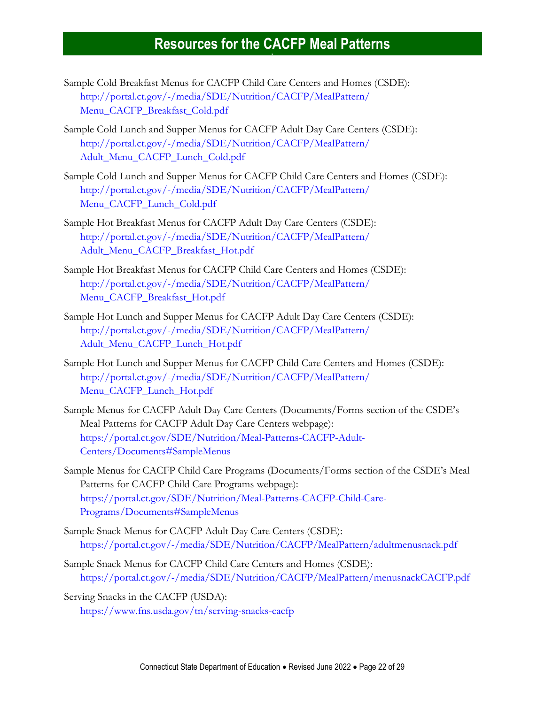- Sample Cold Breakfast Menus for CACFP Child Care Centers and Homes (CSDE): [http://portal.ct.gov/-/media/SDE/Nutrition/CACFP/MealPattern/](http://portal.ct.gov/-/media/SDE/Nutrition/CACFP/MealPattern/Menu_CACFP_Breakfast_Cold.pdf) [Menu\\_CACFP\\_Breakfast\\_Cold.pdf](http://portal.ct.gov/-/media/SDE/Nutrition/CACFP/MealPattern/Menu_CACFP_Breakfast_Cold.pdf)
- Sample Cold Lunch and Supper Menus for CACFP Adult Day Care Centers (CSDE): [http://portal.ct.gov/-/media/SDE/Nutrition/CACFP/MealPattern/](http://portal.ct.gov/-/media/SDE/Nutrition/CACFP/MealPattern/Adult_Menu_CACFP_Lunch_Cold.pdf) [Adult\\_Menu\\_CACFP\\_Lunch\\_Cold.pdf](http://portal.ct.gov/-/media/SDE/Nutrition/CACFP/MealPattern/Adult_Menu_CACFP_Lunch_Cold.pdf)
- Sample Cold Lunch and Supper Menus for CACFP Child Care Centers and Homes (CSDE): [http://portal.ct.gov/-/media/SDE/Nutrition/CACFP/MealPattern/](http://portal.ct.gov/-/media/SDE/Nutrition/CACFP/MealPattern/Menu_CACFP_Lunch_Cold.pdf) [Menu\\_CACFP\\_Lunch\\_Cold.pdf](http://portal.ct.gov/-/media/SDE/Nutrition/CACFP/MealPattern/Menu_CACFP_Lunch_Cold.pdf)
- Sample Hot Breakfast Menus for CACFP Adult Day Care Centers (CSDE): [http://portal.ct.gov/-/media/SDE/Nutrition/CACFP/MealPattern/](http://portal.ct.gov/-/media/SDE/Nutrition/CACFP/MealPattern/Adult_Menu_CACFP_Breakfast_Hot.pdf) [Adult\\_Menu\\_CACFP\\_Breakfast\\_Hot.pdf](http://portal.ct.gov/-/media/SDE/Nutrition/CACFP/MealPattern/Adult_Menu_CACFP_Breakfast_Hot.pdf)
- Sample Hot Breakfast Menus for CACFP Child Care Centers and Homes (CSDE): [http://portal.ct.gov/-/media/SDE/Nutrition/CACFP/MealPattern/](http://portal.ct.gov/-/media/SDE/Nutrition/CACFP/MealPattern/Menu_CACFP_Breakfast_Hot.pdf) [Menu\\_CACFP\\_Breakfast\\_Hot.pdf](http://portal.ct.gov/-/media/SDE/Nutrition/CACFP/MealPattern/Menu_CACFP_Breakfast_Hot.pdf)
- Sample Hot Lunch and Supper Menus for CACFP Adult Day Care Centers (CSDE): [http://portal.ct.gov/-/media/SDE/Nutrition/CACFP/MealPattern/](http://portal.ct.gov/-/media/SDE/Nutrition/CACFP/MealPattern/Adult_Menu_CACFP_Lunch_Hot.pdf) [Adult\\_Menu\\_CACFP\\_Lunch\\_Hot.pdf](http://portal.ct.gov/-/media/SDE/Nutrition/CACFP/MealPattern/Adult_Menu_CACFP_Lunch_Hot.pdf)
- Sample Hot Lunch and Supper Menus for CACFP Child Care Centers and Homes (CSDE): [http://portal.ct.gov/-/media/SDE/Nutrition/CACFP/MealPattern/](http://portal.ct.gov/-/media/SDE/Nutrition/CACFP/MealPattern/Menu_CACFP_Lunch_Hot.pdf) [Menu\\_CACFP\\_Lunch\\_Hot.pdf](http://portal.ct.gov/-/media/SDE/Nutrition/CACFP/MealPattern/Menu_CACFP_Lunch_Hot.pdf)
- Sample Menus for CACFP Adult Day Care Centers (Documents/Forms section of the CSDE's Meal Patterns for CACFP Adult Day Care Centers webpage): [https://portal.ct.gov/SDE/Nutrition/Meal-Patterns-CACFP-Adult-](https://portal.ct.gov/SDE/Nutrition/Meal-Patterns-CACFP-Adult-Centers/Documents#SampleMenus)[Centers/Documents#SampleMenus](https://portal.ct.gov/SDE/Nutrition/Meal-Patterns-CACFP-Adult-Centers/Documents#SampleMenus)
- Sample Menus for CACFP Child Care Programs (Documents/Forms section of the CSDE's Meal Patterns for CACFP Child Care Programs webpage): [https://portal.ct.gov/SDE/Nutrition/Meal-Patterns-CACFP-Child-Care-](https://portal.ct.gov/SDE/Nutrition/Meal-Patterns-CACFP-Child-Care-Programs/Documents#SampleMenus)[Programs/Documents#SampleMenus](https://portal.ct.gov/SDE/Nutrition/Meal-Patterns-CACFP-Child-Care-Programs/Documents#SampleMenus)
- Sample Snack Menus for CACFP Adult Day Care Centers (CSDE): [https://portal.ct.gov/-/media/SDE/Nutrition/CACFP/MealPattern/adultmenusnack.pdf](http://portal.ct.gov/-/media/SDE/Nutrition/CACFP/MealPattern/adultmenusnack.pdf)
- Sample Snack Menus for CACFP Child Care Centers and Homes (CSDE): [https://portal.ct.gov/-/media/SDE/Nutrition/CACFP/MealPattern/menusnackCACFP.pdf](http://portal.ct.gov/-/media/SDE/Nutrition/CACFP/MealPattern/menusnackCACFP.pdf)
- Serving Snacks in the CACFP (USDA): <https://www.fns.usda.gov/tn/serving-snacks-cacfp>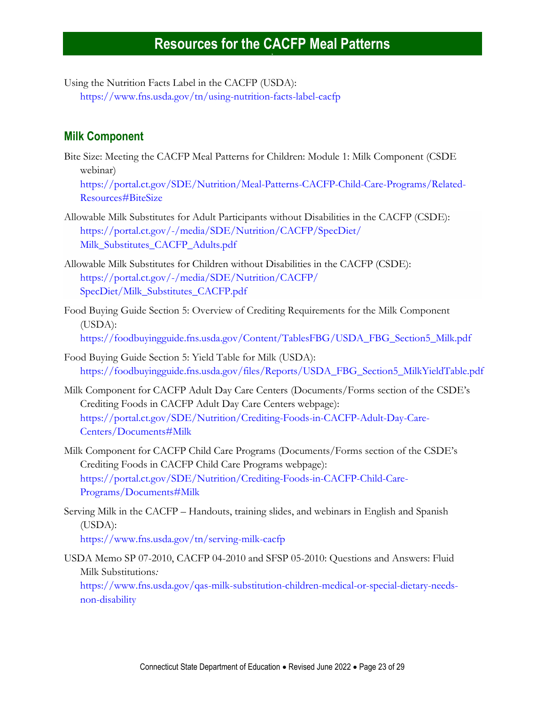Using the Nutrition Facts Label in the CACFP (USDA): <https://www.fns.usda.gov/tn/using-nutrition-facts-label-cacfp>

#### **Milk Component**

Bite Size: Meeting the CACFP Meal Patterns for Children: Module 1: Milk Component (CSDE webinar)

[https://portal.ct.gov/SDE/Nutrition/Meal-Patterns-CACFP-Child-Care-Programs/Related-](https://portal.ct.gov/SDE/Nutrition/Meal-Patterns-CACFP-Child-Care-Programs/Related-Resources#BiteSize)[Resources#BiteSize](https://portal.ct.gov/SDE/Nutrition/Meal-Patterns-CACFP-Child-Care-Programs/Related-Resources#BiteSize)

- Allowable Milk Substitutes for Adult Participants without Disabilities in the CACFP (CSDE): [https://portal.ct.gov/-/media/SDE/Nutrition/CACFP/SpecDiet/](https://portal.ct.gov/-/media/SDE/Nutrition/CACFP/SpecDiet/‌Milk_Substitutes_CACFP_Adults.pdf) [Milk\\_Substitutes\\_CACFP\\_Adults.pdf](https://portal.ct.gov/-/media/SDE/Nutrition/CACFP/SpecDiet/‌Milk_Substitutes_CACFP_Adults.pdf)
- Allowable Milk Substitutes for Children without Disabilities in the CACFP (CSDE): [https://portal.ct.gov/-/media/SDE/Nutrition/CACFP/](https://portal.ct.gov/-/media/SDE/Nutrition/CACFP/SpecDiet/Milk_Substitutes_CACFP.pdf) [SpecDiet/Milk\\_Substitutes\\_CACFP.pdf](https://portal.ct.gov/-/media/SDE/Nutrition/CACFP/SpecDiet/Milk_Substitutes_CACFP.pdf)
- Food Buying Guide Section 5: Overview of Crediting Requirements for the Milk Component (USDA): [https://foodbuyingguide.fns.usda.gov/Content/TablesFBG/USDA\\_FBG\\_Section5\\_Milk.pdf](https://foodbuyingguide.fns.usda.gov/Content/TablesFBG/USDA_FBG_Section5_Milk.pdf)
- Food Buying Guide Section 5: Yield Table for Milk (USDA): [https://foodbuyingguide.fns.usda.gov/files/Reports/USDA\\_FBG\\_Section5\\_MilkYieldTable.pdf](https://foodbuyingguide.fns.usda.gov/files/Reports/USDA_FBG_Section5_MilkYieldTable.pdf)
- Milk Component for CACFP Adult Day Care Centers (Documents/Forms section of the CSDE's Crediting Foods in CACFP Adult Day Care Centers webpage): [https://portal.ct.gov/SDE/Nutrition/Crediting-Foods-in-CACFP-Adult-Day-Care-](https://portal.ct.gov/SDE/Nutrition/Crediting-Foods-in-CACFP-Adult-Day-Care-Centers/Documents#Milk)[Centers/Documents#Milk](https://portal.ct.gov/SDE/Nutrition/Crediting-Foods-in-CACFP-Adult-Day-Care-Centers/Documents#Milk)
- Milk Component for CACFP Child Care Programs (Documents/Forms section of the CSDE's Crediting Foods in CACFP Child Care Programs webpage): [https://portal.ct.gov/SDE/Nutrition/Crediting-Foods-in-CACFP-Child-Care-](https://portal.ct.gov/SDE/Nutrition/Crediting-Foods-in-CACFP-Child-Care-Programs/Documents#Milk)[Programs/Documents#Milk](https://portal.ct.gov/SDE/Nutrition/Crediting-Foods-in-CACFP-Child-Care-Programs/Documents#Milk)
- Serving Milk in the CACFP Handouts, training slides, and webinars in English and Spanish (USDA): <https://www.fns.usda.gov/tn/serving-milk-cacfp>

USDA Memo SP 07-2010, CACFP 04-2010 and SFSP 05-2010: Questions and Answers: Fluid Milk Substitutions*:* [https://www.fns.usda.gov/qas-milk-substitution-children-medical-or-special-dietary-needs-](https://www.fns.usda.gov/qas-milk-substitution-children-medical-or-special-dietary-needs-non-disability)

[non-disability](https://www.fns.usda.gov/qas-milk-substitution-children-medical-or-special-dietary-needs-non-disability)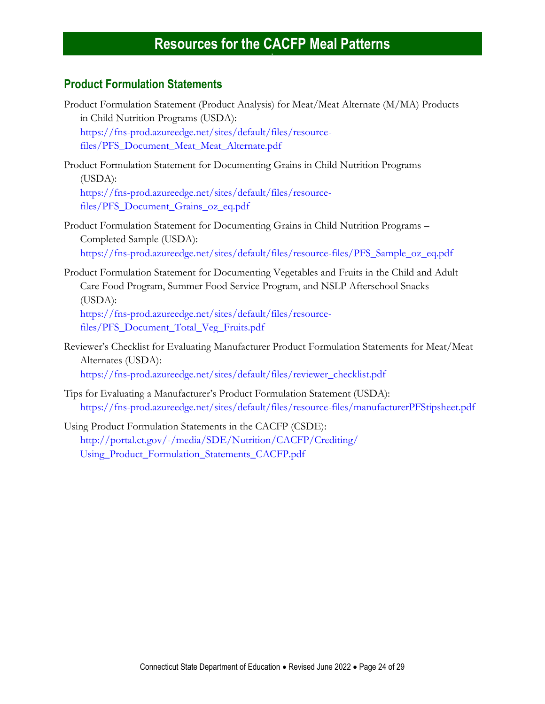#### **Product Formulation Statements**

- Product Formulation Statement (Product Analysis) for Meat/Meat Alternate (M/MA) Products in Child Nutrition Programs (USDA): [https://fns-prod.azureedge.net/sites/default/files/resource](https://fns-prod.azureedge.net/sites/default/files/resource-files/PFS_Document_Meat_Meat_Alternate.pdf)[files/PFS\\_Document\\_Meat\\_Meat\\_Alternate.pdf](https://fns-prod.azureedge.net/sites/default/files/resource-files/PFS_Document_Meat_Meat_Alternate.pdf)
- Product Formulation Statement for Documenting Grains in Child Nutrition Programs (USDA): [https://fns-prod.azureedge.net/sites/default/files/resource](https://fns-prod.azureedge.net/sites/default/files/resource-files/PFS_Document_Grains_oz_eq.pdf)[files/PFS\\_Document\\_Grains\\_oz\\_eq.pdf](https://fns-prod.azureedge.net/sites/default/files/resource-files/PFS_Document_Grains_oz_eq.pdf)
- Product Formulation Statement for Documenting Grains in Child Nutrition Programs Completed Sample (USDA): [https://fns-prod.azureedge.net/sites/default/files/resource-files/PFS\\_Sample\\_oz\\_eq.pdf](https://fns-prod.azureedge.net/sites/default/files/resource-files/PFS_Sample_oz_eq.pdf)
- Product Formulation Statement for Documenting Vegetables and Fruits in the Child and Adult Care Food Program, Summer Food Service Program, and NSLP Afterschool Snacks (USDA): [https://fns-prod.azureedge.net/sites/default/files/resource-](https://fns-prod.azureedge.net/sites/default/files/resource-files/PFS_Document_Total_Veg_Fruits.pdf)

[files/PFS\\_Document\\_Total\\_Veg\\_Fruits.pdf](https://fns-prod.azureedge.net/sites/default/files/resource-files/PFS_Document_Total_Veg_Fruits.pdf)

Reviewer's Checklist for Evaluating Manufacturer Product Formulation Statements for Meat/Meat Alternates (USDA): [https://fns-prod.azureedge.net/sites/default/files/reviewer\\_checklist.pdf](https://fns-prod.azureedge.net/sites/default/files/reviewer_checklist.pdf)

Tips for Evaluating a Manufacturer's Product Formulation Statement (USDA): <https://fns-prod.azureedge.net/sites/default/files/resource-files/manufacturerPFStipsheet.pdf>

<span id="page-23-0"></span>Using Product Formulation Statements in the CACFP (CSDE): [http://portal.ct.gov/-/media/SDE/Nutrition/CACFP/Crediting/](http://portal.ct.gov/-/media/SDE/Nutrition/CACFP/Crediting/Using_Product_Formulation_Statements_CACFP.pdf) [Using\\_Product\\_Formulation\\_Statements\\_CACFP.pdf](http://portal.ct.gov/-/media/SDE/Nutrition/CACFP/Crediting/Using_Product_Formulation_Statements_CACFP.pdf)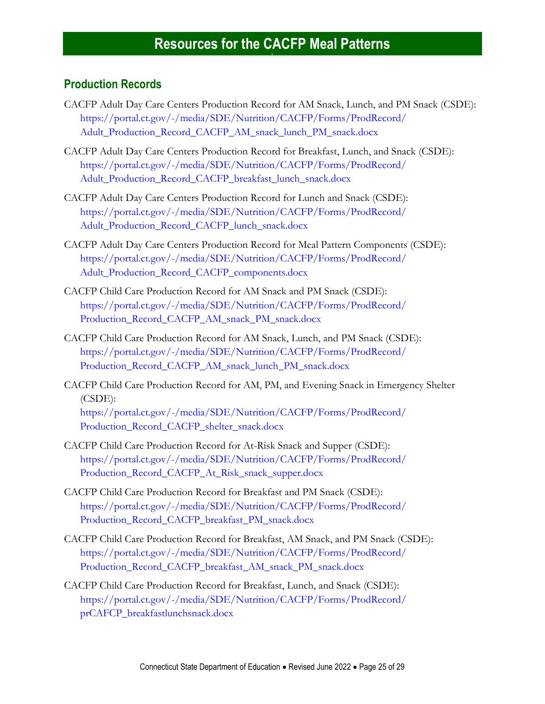#### **Production Records**

- CACFP Adult Day Care Centers Production Record for AM Snack, Lunch, and PM Snack (CSDE): [https://portal.ct.gov/-/media/SDE/Nutrition/CACFP/Forms/ProdRecord/](https://portal.ct.gov/-/media/SDE/Nutrition/CACFP/Forms/ProdRecord/Adult_Production_Record_CACFP_AM_snack_lunch_PM_snack.docx) [Adult\\_Production\\_Record\\_CACFP\\_AM\\_snack\\_lunch\\_PM\\_snack.docx](https://portal.ct.gov/-/media/SDE/Nutrition/CACFP/Forms/ProdRecord/Adult_Production_Record_CACFP_AM_snack_lunch_PM_snack.docx)
- CACFP Adult Day Care Centers Production Record for Breakfast, Lunch, and Snack (CSDE): [https://portal.ct.gov/-/media/SDE/Nutrition/CACFP/Forms/ProdRecord/](https://portal.ct.gov/-/media/SDE/Nutrition/CACFP/Forms/ProdRecord/Adult_Production_Record_CACFP_breakfast_lunch_snack.docx) [Adult\\_Production\\_Record\\_CACFP\\_breakfast\\_lunch\\_snack.docx](https://portal.ct.gov/-/media/SDE/Nutrition/CACFP/Forms/ProdRecord/Adult_Production_Record_CACFP_breakfast_lunch_snack.docx)
- CACFP Adult Day Care Centers Production Record for Lunch and Snack (CSDE): [https://portal.ct.gov/-/media/SDE/Nutrition/CACFP/Forms/ProdRecord/](https://portal.ct.gov/-/media/SDE/Nutrition/CACFP/Forms/ProdRecord/Adult_Production_Record_CACFP_lunch_snack.docx) [Adult\\_Production\\_Record\\_CACFP\\_lunch\\_snack.docx](https://portal.ct.gov/-/media/SDE/Nutrition/CACFP/Forms/ProdRecord/Adult_Production_Record_CACFP_lunch_snack.docx)
- CACFP Adult Day Care Centers Production Record for Meal Pattern Components (CSDE): [https://portal.ct.gov/-/media/SDE/Nutrition/CACFP/Forms/ProdRecord/](https://portal.ct.gov/-/media/SDE/Nutrition/CACFP/Forms/ProdRecord/Adult_Production_Record_CACFP_components.docx) [Adult\\_Production\\_Record\\_CACFP\\_components.docx](https://portal.ct.gov/-/media/SDE/Nutrition/CACFP/Forms/ProdRecord/Adult_Production_Record_CACFP_components.docx)
- CACFP Child Care Production Record for AM Snack and PM Snack (CSDE): [https://portal.ct.gov/-/media/SDE/Nutrition/CACFP/Forms/ProdRecord/](https://portal.ct.gov/-/media/SDE/Nutrition/CACFP/Forms/ProdRecord/Production_Record_CACFP_AM_snack_PM_snack.docx) [Production\\_Record\\_CACFP\\_AM\\_snack\\_PM\\_snack.docx](https://portal.ct.gov/-/media/SDE/Nutrition/CACFP/Forms/ProdRecord/Production_Record_CACFP_AM_snack_PM_snack.docx)
- CACFP Child Care Production Record for AM Snack, Lunch, and PM Snack (CSDE): [https://portal.ct.gov/-/media/SDE/Nutrition/CACFP/Forms/ProdRecord/](https://portal.ct.gov/-/media/SDE/Nutrition/CACFP/Forms/ProdRecord/Production_Record_CACFP_AM_snack_lunch_PM_snack.docx) [Production\\_Record\\_CACFP\\_AM\\_snack\\_lunch\\_PM\\_snack.docx](https://portal.ct.gov/-/media/SDE/Nutrition/CACFP/Forms/ProdRecord/Production_Record_CACFP_AM_snack_lunch_PM_snack.docx)
- CACFP Child Care Production Record for AM, PM, and Evening Snack in Emergency Shelter (CSDE):

[https://portal.ct.gov/-/media/SDE/Nutrition/CACFP/Forms/ProdRecord/](https://portal.ct.gov/-/media/SDE/Nutrition/CACFP/Forms/ProdRecord/Production_Record_CACFP_shelter_snack.docx) [Production\\_Record\\_CACFP\\_shelter\\_snack.docx](https://portal.ct.gov/-/media/SDE/Nutrition/CACFP/Forms/ProdRecord/Production_Record_CACFP_shelter_snack.docx)

- CACFP Child Care Production Record for At-Risk Snack and Supper (CSDE): [https://portal.ct.gov/-/media/SDE/Nutrition/CACFP/Forms/ProdRecord/](https://portal.ct.gov/-/media/SDE/Nutrition/CACFP/Forms/ProdRecord/Production_Record_CACFP_At_Risk_snack_supper.docx) [Production\\_Record\\_CACFP\\_At\\_Risk\\_snack\\_supper.docx](https://portal.ct.gov/-/media/SDE/Nutrition/CACFP/Forms/ProdRecord/Production_Record_CACFP_At_Risk_snack_supper.docx)
- CACFP Child Care Production Record for Breakfast and PM Snack (CSDE): [https://portal.ct.gov/-/media/SDE/Nutrition/CACFP/Forms/ProdRecord/](https://portal.ct.gov/-/media/SDE/Nutrition/CACFP/Forms/ProdRecord/Production_Record_CACFP_breakfast_PM_snack.docx) [Production\\_Record\\_CACFP\\_breakfast\\_PM\\_snack.docx](https://portal.ct.gov/-/media/SDE/Nutrition/CACFP/Forms/ProdRecord/Production_Record_CACFP_breakfast_PM_snack.docx)
- CACFP Child Care Production Record for Breakfast, AM Snack, and PM Snack (CSDE): [https://portal.ct.gov/-/media/SDE/Nutrition/CACFP/Forms/ProdRecord/](https://portal.ct.gov/-/media/SDE/Nutrition/CACFP/Forms/ProdRecord/Production_Record_CACFP_breakfast_AM_snack_PM_snack.docx) [Production\\_Record\\_CACFP\\_breakfast\\_AM\\_snack\\_PM\\_snack.docx](https://portal.ct.gov/-/media/SDE/Nutrition/CACFP/Forms/ProdRecord/Production_Record_CACFP_breakfast_AM_snack_PM_snack.docx)
- CACFP Child Care Production Record for Breakfast, Lunch, and Snack (CSDE): [https://portal.ct.gov/-/media/SDE/Nutrition/CACFP/Forms/ProdRecord/](https://portal.ct.gov/-/media/SDE/Nutrition/CACFP/Forms/ProdRecord/prCAFCP_breakfastlunchsnack.doc) [prCAFCP\\_breakfastlunchsnack.docx](https://portal.ct.gov/-/media/SDE/Nutrition/CACFP/Forms/ProdRecord/prCAFCP_breakfastlunchsnack.doc)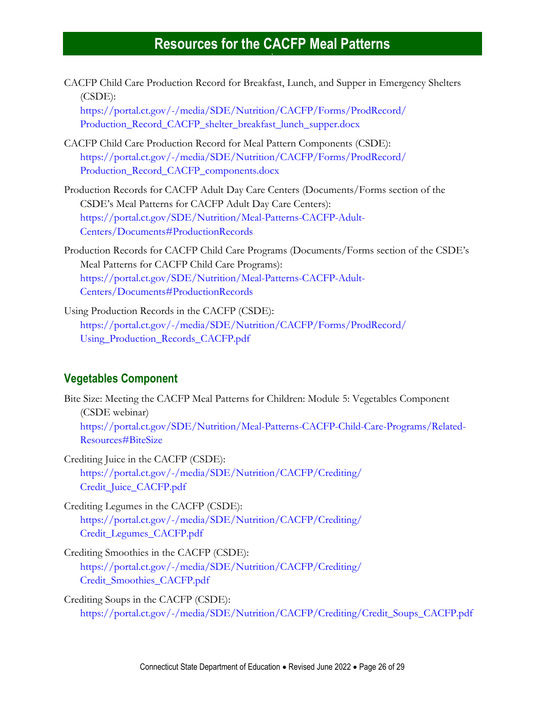CACFP Child Care Production Record for Breakfast, Lunch, and Supper in Emergency Shelters (CSDE):

[https://portal.ct.gov/-/media/SDE/Nutrition/CACFP/Forms/ProdRecord/](https://portal.ct.gov/-/media/SDE/Nutrition/CACFP/Forms/ProdRecord/Production_Record_CACFP_shelter_breakfast_lunch_supper.docx) [Production\\_Record\\_CACFP\\_shelter\\_breakfast\\_lunch\\_supper.docx](https://portal.ct.gov/-/media/SDE/Nutrition/CACFP/Forms/ProdRecord/Production_Record_CACFP_shelter_breakfast_lunch_supper.docx)

- CACFP Child Care Production Record for Meal Pattern Components (CSDE): [https://portal.ct.gov/-/media/SDE/Nutrition/CACFP/Forms/ProdRecord/](https://portal.ct.gov/-/media/SDE/Nutrition/CACFP/Forms/ProdRecord/Production_Record_CACFP_components.docx) [Production\\_Record\\_CACFP\\_components.docx](https://portal.ct.gov/-/media/SDE/Nutrition/CACFP/Forms/ProdRecord/Production_Record_CACFP_components.docx)
- Production Records for CACFP Adult Day Care Centers (Documents/Forms section of the CSDE's Meal Patterns for CACFP Adult Day Care Centers): [https://portal.ct.gov/SDE/Nutrition/Meal-Patterns-CACFP-Adult-](https://portal.ct.gov/SDE/Nutrition/Meal-Patterns-CACFP-Adult-Centers/Documents#ProductionRecords)[Centers/Documents#ProductionRecords](https://portal.ct.gov/SDE/Nutrition/Meal-Patterns-CACFP-Adult-Centers/Documents#ProductionRecords)
- Production Records for CACFP Child Care Programs (Documents/Forms section of the CSDE's Meal Patterns for CACFP Child Care Programs): [https://portal.ct.gov/SDE/Nutrition/Meal-Patterns-CACFP-Adult-](https://portal.ct.gov/SDE/Nutrition/Meal-Patterns-CACFP-Adult-Centers/Documents#ProductionRecords)[Centers/Documents#ProductionRecords](https://portal.ct.gov/SDE/Nutrition/Meal-Patterns-CACFP-Adult-Centers/Documents#ProductionRecords)
- Using Production Records in the CACFP (CSDE): [https://portal.ct.gov/-/media/SDE/Nutrition/CACFP/Forms/ProdRecord/](https://portal.ct.gov/-/media/SDE/Nutrition/CACFP/Forms/ProdRecord/Using_Production_Records_CACFP.pdf) [Using\\_Production\\_Records\\_CACFP.pdf](https://portal.ct.gov/-/media/SDE/Nutrition/CACFP/Forms/ProdRecord/Using_Production_Records_CACFP.pdf)

#### **Vegetables Component**

Bite Size: Meeting the CACFP Meal Patterns for Children: Module 5: Vegetables Component (CSDE webinar) [https://portal.ct.gov/SDE/Nutrition/Meal-Patterns-CACFP-Child-Care-Programs/Related-](https://portal.ct.gov/SDE/Nutrition/Meal-Patterns-CACFP-Child-Care-Programs/Related-Resources#BiteSize)[Resources#BiteSize](https://portal.ct.gov/SDE/Nutrition/Meal-Patterns-CACFP-Child-Care-Programs/Related-Resources#BiteSize)

Crediting Juice in the CACFP (CSDE): [https://portal.ct.gov/-/media/SDE/Nutrition/CACFP/Crediting/](https://portal.ct.gov/-/media/SDE/Nutrition/CACFP/Crediting/Credit_Juice_CACFP.pdf) [Credit\\_Juice\\_CACFP.pdf](https://portal.ct.gov/-/media/SDE/Nutrition/CACFP/Crediting/Credit_Juice_CACFP.pdf)

- Crediting Legumes in the CACFP (CSDE): [https://portal.ct.gov/-/media/SDE/Nutrition/CACFP/Crediting/](https://portal.ct.gov/-/media/SDE/Nutrition/CACFP/Crediting/‌Credit_Legumes_CACFP.pdf) [Credit\\_Legumes\\_CACFP.pdf](https://portal.ct.gov/-/media/SDE/Nutrition/CACFP/Crediting/‌Credit_Legumes_CACFP.pdf)
- Crediting Smoothies in the CACFP (CSDE): [https://portal.ct.gov/-/media/SDE/Nutrition/CACFP/Crediting/](https://portal.ct.gov/-/media/SDE/Nutrition/CACFP/Crediting/Credit_Smoothies_CACFP.pdf) [Credit\\_Smoothies\\_CACFP.pdf](https://portal.ct.gov/-/media/SDE/Nutrition/CACFP/Crediting/Credit_Smoothies_CACFP.pdf)

Crediting Soups in the CACFP (CSDE): [https://portal.ct.gov/-/media/SDE/Nutrition/CACFP/Crediting/Credit\\_Soups\\_CACFP.pdf](https://portal.ct.gov/-/media/SDE/Nutrition/CACFP/Crediting/Credit_Soups_CACFP.pdf)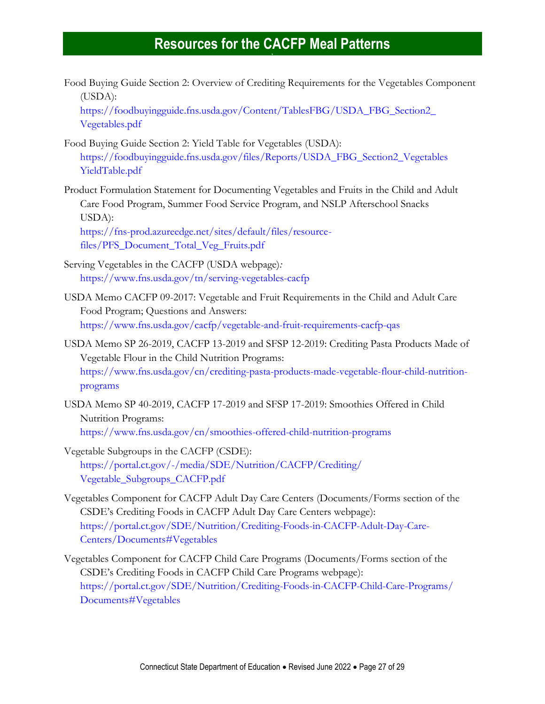Food Buying Guide Section 2: Overview of Crediting Requirements for the Vegetables Component (USDA):

[https://foodbuyingguide.fns.usda.gov/Content/TablesFBG/USDA\\_FBG\\_Section2\\_](https://foodbuyingguide.fns.usda.gov/Content/TablesFBG/USDA_FBG_Section2_‌Vegetables.pdf) [Vegetables.pdf](https://foodbuyingguide.fns.usda.gov/Content/TablesFBG/USDA_FBG_Section2_‌Vegetables.pdf)

- Food Buying Guide Section 2: Yield Table for Vegetables (USDA): [https://foodbuyingguide.fns.usda.gov/files/Reports/USDA\\_FBG\\_Section2\\_Vegetables](https://foodbuyingguide.fns.usda.gov/files/Reports/USDA_FBG_Section2_VegetablesYieldTable.pdf) [YieldTable.pdf](https://foodbuyingguide.fns.usda.gov/files/Reports/USDA_FBG_Section2_VegetablesYieldTable.pdf)
- Product Formulation Statement for Documenting Vegetables and Fruits in the Child and Adult Care Food Program, Summer Food Service Program, and NSLP Afterschool Snacks USDA):

[https://fns-prod.azureedge.net/sites/default/files/resource](https://fns-prod.azureedge.net/sites/default/files/resource-files/PFS_Document_Total_Veg_Fruits.pdf)[files/PFS\\_Document\\_Total\\_Veg\\_Fruits.pdf](https://fns-prod.azureedge.net/sites/default/files/resource-files/PFS_Document_Total_Veg_Fruits.pdf)

- Serving Vegetables in the CACFP (USDA webpage)*:* <https://www.fns.usda.gov/tn/serving-vegetables-cacfp>
- USDA Memo CACFP 09-2017: Vegetable and Fruit Requirements in the Child and Adult Care Food Program; Questions and Answers: <https://www.fns.usda.gov/cacfp/vegetable-and-fruit-requirements-cacfp-qas>
- USDA Memo SP 26-2019, CACFP 13-2019 and SFSP 12-2019: Crediting Pasta Products Made of Vegetable Flour in the Child Nutrition Programs: [https://www.fns.usda.gov/cn/crediting-pasta-products-made-vegetable-flour-child-nutrition](https://www.fns.usda.gov/cn/crediting-pasta-products-made-vegetable-flour-child-nutrition-programs)[programs](https://www.fns.usda.gov/cn/crediting-pasta-products-made-vegetable-flour-child-nutrition-programs)

USDA Memo SP 40-2019, CACFP 17-2019 and SFSP 17-2019: Smoothies Offered in Child Nutrition Programs: <https://www.fns.usda.gov/cn/smoothies-offered-child-nutrition-programs>

- Vegetable Subgroups in the CACFP (CSDE): [https://portal.ct.gov/-/media/SDE/Nutrition/CACFP/Crediting/](https://portal.ct.gov/-/media/SDE/Nutrition/CACFP/Crediting/‌Vegetable_Subgroups_CACFP.pdf) [Vegetable\\_Subgroups\\_CACFP.pdf](https://portal.ct.gov/-/media/SDE/Nutrition/CACFP/Crediting/‌Vegetable_Subgroups_CACFP.pdf)
- Vegetables Component for CACFP Adult Day Care Centers (Documents/Forms section of the CSDE's Crediting Foods in CACFP Adult Day Care Centers webpage): [https://portal.ct.gov/SDE/Nutrition/Crediting-Foods-in-CACFP-Adult-Day-Care-](https://portal.ct.gov/SDE/Nutrition/Crediting-Foods-in-CACFP-Adult-Day-Care-Centers/Documents#Vegetables)[Centers/Documents#Vegetables](https://portal.ct.gov/SDE/Nutrition/Crediting-Foods-in-CACFP-Adult-Day-Care-Centers/Documents#Vegetables)
- Vegetables Component for CACFP Child Care Programs (Documents/Forms section of the CSDE's Crediting Foods in CACFP Child Care Programs webpage): [https://portal.ct.gov/SDE/Nutrition/Crediting-Foods-in-CACFP-Child-Care-Programs/](https://portal.ct.gov/SDE/Nutrition/Crediting-Foods-in-CACFP-Child-Care-Programs/Documents#Vegetables) [Documents#Vegetables](https://portal.ct.gov/SDE/Nutrition/Crediting-Foods-in-CACFP-Child-Care-Programs/Documents#Vegetables)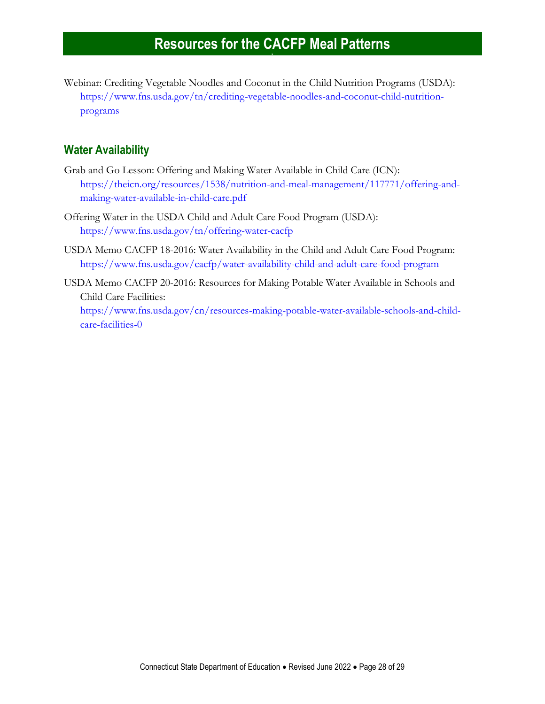Webinar: Crediting Vegetable Noodles and Coconut in the Child Nutrition Programs (USDA): [https://www.fns.usda.gov/tn/crediting-vegetable-noodles-and-coconut-child-nutrition](https://www.fns.usda.gov/tn/crediting-vegetable-noodles-and-coconut-child-nutrition-programs)[programs](https://www.fns.usda.gov/tn/crediting-vegetable-noodles-and-coconut-child-nutrition-programs)

#### <span id="page-27-0"></span>**Water Availability**

- Grab and Go Lesson: Offering and Making Water Available in Child Care (ICN): [https://theicn.org/resources/1538/nutrition-and-meal-management/117771/offering-and](https://theicn.org/resources/1538/nutrition-and-meal-management/117771/offering-and-making-water-available-in-child-care.pdf)[making-water-available-in-child-care.pdf](https://theicn.org/resources/1538/nutrition-and-meal-management/117771/offering-and-making-water-available-in-child-care.pdf)
- Offering Water in the USDA Child and Adult Care Food Program (USDA): <https://www.fns.usda.gov/tn/offering-water-cacfp>
- USDA Memo CACFP 18-2016: Water Availability in the Child and Adult Care Food Program: <https://www.fns.usda.gov/cacfp/water-availability-child-and-adult-care-food-program>
- USDA Memo CACFP 20-2016: Resources for Making Potable Water Available in Schools and Child Care Facilities:

[https://www.fns.usda.gov/cn/resources-making-potable-water-available-schools-and-child](https://www.fns.usda.gov/cn/resources-making-potable-water-available-schools-and-child-care-facilities-0)[care-facilities-0](https://www.fns.usda.gov/cn/resources-making-potable-water-available-schools-and-child-care-facilities-0)